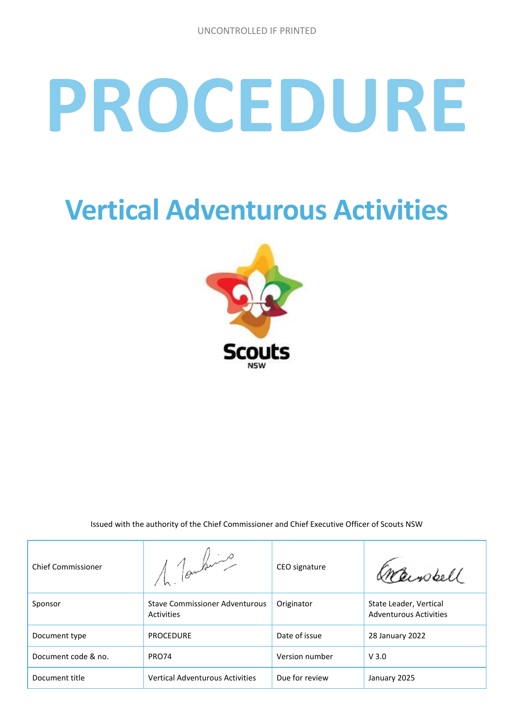# **PROCEDURE**

## **Vertical Adventurous Activities**



Issued with the authority of the Chief Commissioner and Chief Executive Officer of Scouts NSW

| <b>Chief Commissioner</b> | $1$ (antonion                                       | CEO signature  | Orainobell                                              |
|---------------------------|-----------------------------------------------------|----------------|---------------------------------------------------------|
| Sponsor                   | <b>Stave Commissioner Adventurous</b><br>Activities | Originator     | State Leader, Vertical<br><b>Adventurous Activities</b> |
| Document type             | <b>PROCEDURE</b>                                    | Date of issue  | 28 January 2022                                         |
| Document code & no.       | <b>PRO74</b>                                        | Version number | V3.0                                                    |
| Document title            | Vertical Adventurous Activities                     | Due for review | January 2025                                            |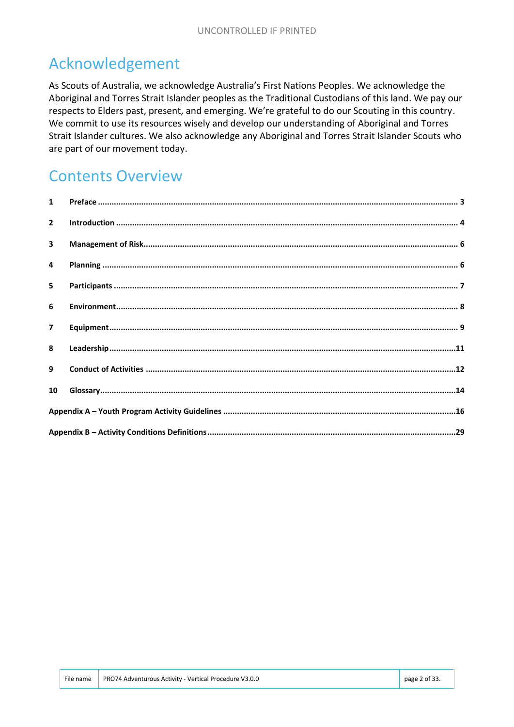#### Acknowledgement

As Scouts of Australia, we acknowledge Australia's First Nations Peoples. We acknowledge the Aboriginal and Torres Strait Islander peoples as the Traditional Custodians of this land. We pay our respects to Elders past, present, and emerging. We're grateful to do our Scouting in this country. We commit to use its resources wisely and develop our understanding of Aboriginal and Torres Strait Islander cultures. We also acknowledge any Aboriginal and Torres Strait Islander Scouts who are part of our movement today.

#### Contents Overview

| 1 <sup>1</sup>          |  |
|-------------------------|--|
| $2^{\circ}$             |  |
| $\overline{\mathbf{3}}$ |  |
| $\overline{\mathbf{4}}$ |  |
| 5                       |  |
| 6                       |  |
| $\overline{7}$          |  |
| 8                       |  |
| 9                       |  |
| 10                      |  |
|                         |  |
|                         |  |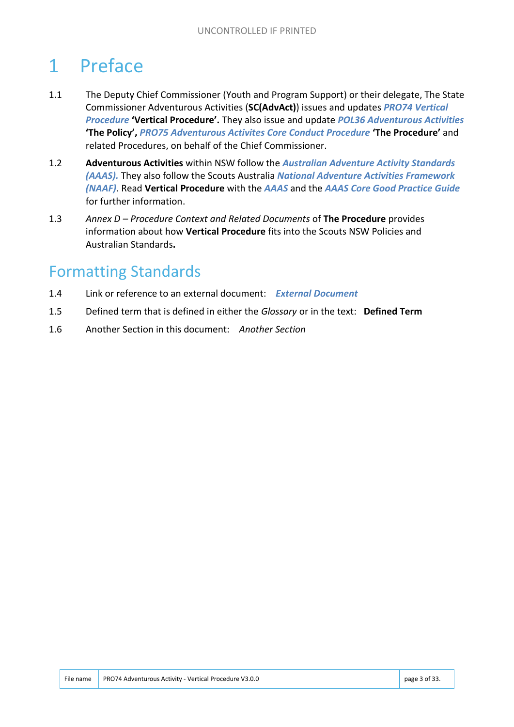## 1 Preface

- 1.1 The Deputy Chief Commissioner (Youth and Program Support) or their delegate, The State Commissioner Adventurous Activities (**SC(AdvAct)**) issues and updates *PRO74 Vertical Procedure* **'Vertical Procedure'.** They also issue and update *POL36 Adventurous Activities*  **'The Policy',** *PRO75 Adventurous Activites Core Conduct Procedure* **'The Procedure'** and related Procedures, on behalf of the Chief Commissioner.
- 1.2 **Adventurous Activities** within NSW follow the *Australian Adventure Activity Standards (AAAS).* They also follow the Scouts Australia *National Adventure Activities Framework (NAAF)*. Read **Vertical Procedure** with the *AAAS* and the *AAAS Core Good Practice Guide*  for further information.
- 1.3 *Annex D – Procedure Context and Related Documents* of **The Procedure** provides information about how **Vertical Procedure** fits into the Scouts NSW Policies and Australian Standards**.**

#### Formatting Standards

- 1.4 Link or reference to an external document: *External Document*
- 1.5 Defined term that is defined in either the *Glossary* or in the text: **Defined Term**
- 1.6 Another Section in this document: *Another Section*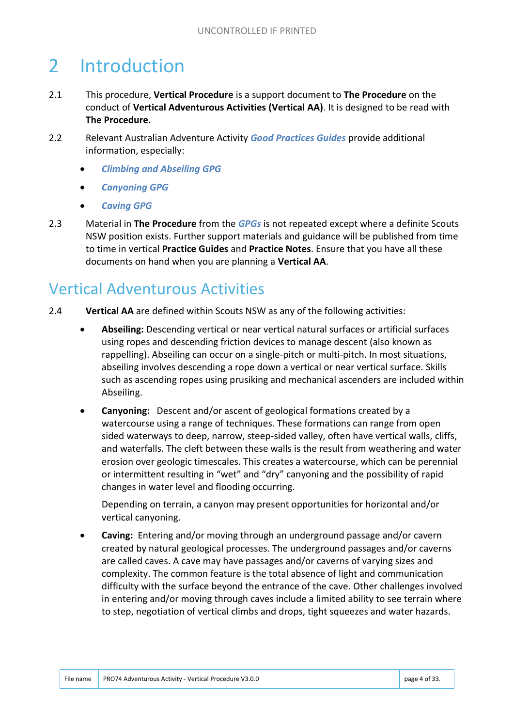## 2 Introduction

- 2.1 This procedure, **Vertical Procedure** is a support document to **The Procedure** on the conduct of **Vertical Adventurous Activities (Vertical AA)**. It is designed to be read with **The Procedure.**
- 2.2 Relevant Australian Adventure Activity *Good Practices Guides* provide additional information, especially:
	- *Climbing and Abseiling GPG*
	- *Canyoning GPG*
	- *Caving GPG*
- 2.3 Material in **The Procedure** from the *GPGs* is not repeated except where a definite Scouts NSW position exists. Further support materials and guidance will be published from time to time in vertical **Practice Guides** and **Practice Notes**. Ensure that you have all these documents on hand when you are planning a **Vertical AA**.

#### Vertical Adventurous Activities

- 2.4 **Vertical AA** are defined within Scouts NSW as any of the following activities:
	- **Abseiling:** Descending vertical or near vertical natural surfaces or artificial surfaces using ropes and descending friction devices to manage descent (also known as rappelling). Abseiling can occur on a single-pitch or multi-pitch. In most situations, abseiling involves descending a rope down a vertical or near vertical surface. Skills such as ascending ropes using prusiking and mechanical ascenders are included within Abseiling.
	- **Canyoning:** Descent and/or ascent of geological formations created by a watercourse using a range of techniques. These formations can range from open sided waterways to deep, narrow, steep-sided valley, often have vertical walls, cliffs, and waterfalls. The cleft between these walls is the result from weathering and water erosion over geologic timescales. This creates a watercourse, which can be perennial or intermittent resulting in "wet" and "dry" canyoning and the possibility of rapid changes in water level and flooding occurring.

Depending on terrain, a canyon may present opportunities for horizontal and/or vertical canyoning.

 **Caving:** Entering and/or moving through an underground passage and/or cavern created by natural geological processes. The underground passages and/or caverns are called caves. A cave may have passages and/or caverns of varying sizes and complexity. The common feature is the total absence of light and communication difficulty with the surface beyond the entrance of the cave. Other challenges involved in entering and/or moving through caves include a limited ability to see terrain where to step, negotiation of vertical climbs and drops, tight squeezes and water hazards.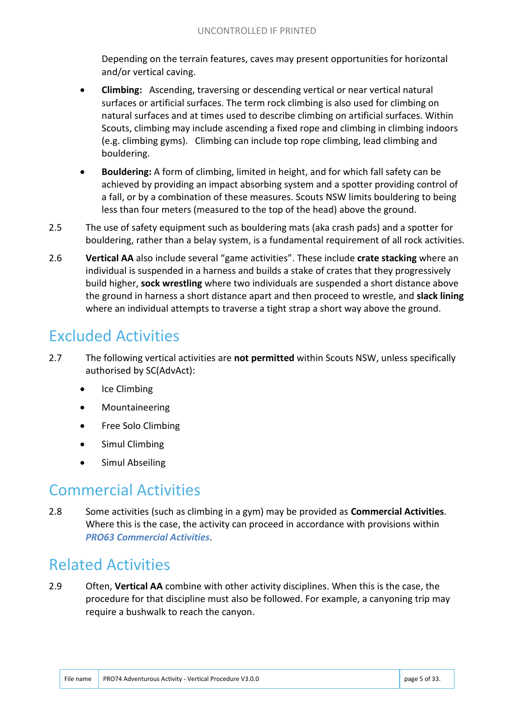Depending on the terrain features, caves may present opportunities for horizontal and/or vertical caving.

- **Climbing:** Ascending, traversing or descending vertical or near vertical natural surfaces or artificial surfaces. The term rock climbing is also used for climbing on natural surfaces and at times used to describe climbing on artificial surfaces. Within Scouts, climbing may include ascending a fixed rope and climbing in climbing indoors (e.g. climbing gyms). Climbing can include top rope climbing, lead climbing and bouldering.
- **Bouldering:** A form of climbing, limited in height, and for which fall safety can be achieved by providing an impact absorbing system and a spotter providing control of a fall, or by a combination of these measures. Scouts NSW limits bouldering to being less than four meters (measured to the top of the head) above the ground.
- 2.5 The use of safety equipment such as bouldering mats (aka crash pads) and a spotter for bouldering, rather than a belay system, is a fundamental requirement of all rock activities.
- 2.6 **Vertical AA** also include several "game activities". These include **crate stacking** where an individual is suspended in a harness and builds a stake of crates that they progressively build higher, **sock wrestling** where two individuals are suspended a short distance above the ground in harness a short distance apart and then proceed to wrestle, and **slack lining** where an individual attempts to traverse a tight strap a short way above the ground.

#### Excluded Activities

- 2.7 The following vertical activities are **not permitted** within Scouts NSW, unless specifically authorised by SC(AdvAct):
	- Ice Climbing
	- Mountaineering
	- Free Solo Climbing
	- Simul Climbing
	- **•** Simul Abseiling

#### Commercial Activities

2.8 Some activities (such as climbing in a gym) may be provided as **Commercial Activities**. Where this is the case, the activity can proceed in accordance with provisions within *PRO63 Commercial Activities*.

#### Related Activities

2.9 Often, **Vertical AA** combine with other activity disciplines. When this is the case, the procedure for that discipline must also be followed. For example, a canyoning trip may require a bushwalk to reach the canyon.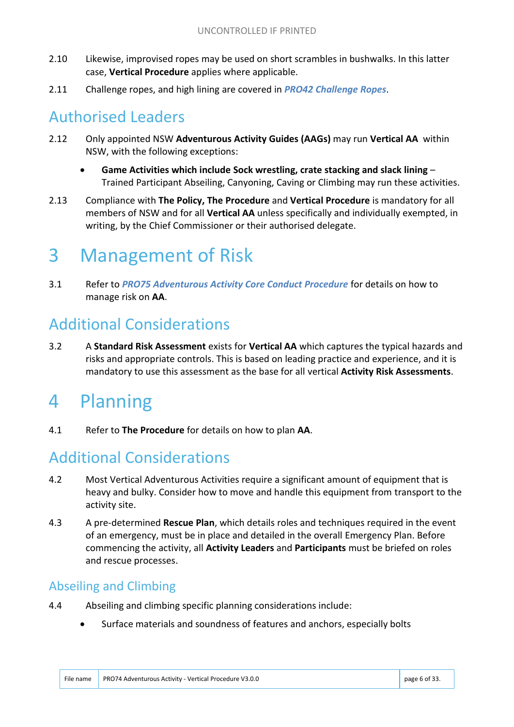- 2.10 Likewise, improvised ropes may be used on short scrambles in bushwalks. In this latter case, **Vertical Procedure** applies where applicable.
- 2.11 Challenge ropes, and high lining are covered in *PRO42 Challenge Ropes*.

#### Authorised Leaders

- 2.12 Only appointed NSW **Adventurous Activity Guides (AAGs)** may run **Vertical AA** within NSW, with the following exceptions:
	- **Game Activities which include Sock wrestling, crate stacking and slack lining** Trained Participant Abseiling, Canyoning, Caving or Climbing may run these activities.
- 2.13 Compliance with **The Policy, The Procedure** and **Vertical Procedure** is mandatory for all members of NSW and for all **Vertical AA** unless specifically and individually exempted, in writing, by the Chief Commissioner or their authorised delegate.

## 3 Management of Risk

3.1 Refer to *PRO75 Adventurous Activity Core Conduct Procedure* for details on how to manage risk on **AA**.

#### Additional Considerations

3.2 A **Standard Risk Assessment** exists for **Vertical AA** which captures the typical hazards and risks and appropriate controls. This is based on leading practice and experience, and it is mandatory to use this assessment as the base for all vertical **Activity Risk Assessments**.

## 4 Planning

4.1 Refer to **The Procedure** for details on how to plan **AA**.

#### Additional Considerations

- 4.2 Most Vertical Adventurous Activities require a significant amount of equipment that is heavy and bulky. Consider how to move and handle this equipment from transport to the activity site.
- 4.3 A pre-determined **Rescue Plan**, which details roles and techniques required in the event of an emergency, must be in place and detailed in the overall Emergency Plan. Before commencing the activity, all **Activity Leaders** and **Participants** must be briefed on roles and rescue processes.

#### Abseiling and Climbing

- 4.4 Abseiling and climbing specific planning considerations include:
	- Surface materials and soundness of features and anchors, especially bolts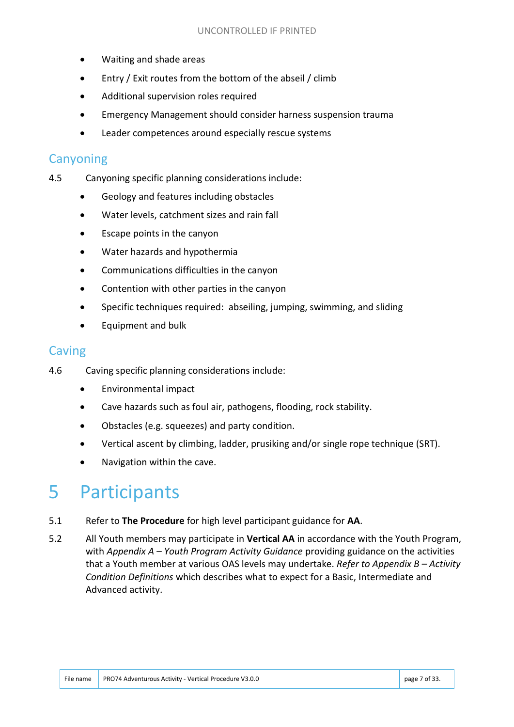- Waiting and shade areas
- Entry / Exit routes from the bottom of the abseil / climb
- Additional supervision roles required
- Emergency Management should consider harness suspension trauma
- Leader competences around especially rescue systems

#### Canyoning

- 4.5 Canyoning specific planning considerations include:
	- Geology and features including obstacles
	- Water levels, catchment sizes and rain fall
	- Escape points in the canyon
	- Water hazards and hypothermia
	- Communications difficulties in the canyon
	- Contention with other parties in the canyon
	- Specific techniques required: abseiling, jumping, swimming, and sliding
	- **Equipment and bulk**

#### **Caving**

- 4.6 Caving specific planning considerations include:
	- Environmental impact
	- Cave hazards such as foul air, pathogens, flooding, rock stability.
	- Obstacles (e.g. squeezes) and party condition.
	- Vertical ascent by climbing, ladder, prusiking and/or single rope technique (SRT).
	- Navigation within the cave.

#### 5 Participants

- 5.1 Refer to **The Procedure** for high level participant guidance for **AA**.
- 5.2 All Youth members may participate in **Vertical AA** in accordance with the Youth Program, with *Appendix A – Youth Program Activity Guidance* providing guidance on the activities that a Youth member at various OAS levels may undertake. *Refer to Appendix B – Activity Condition Definitions* which describes what to expect for a Basic, Intermediate and Advanced activity.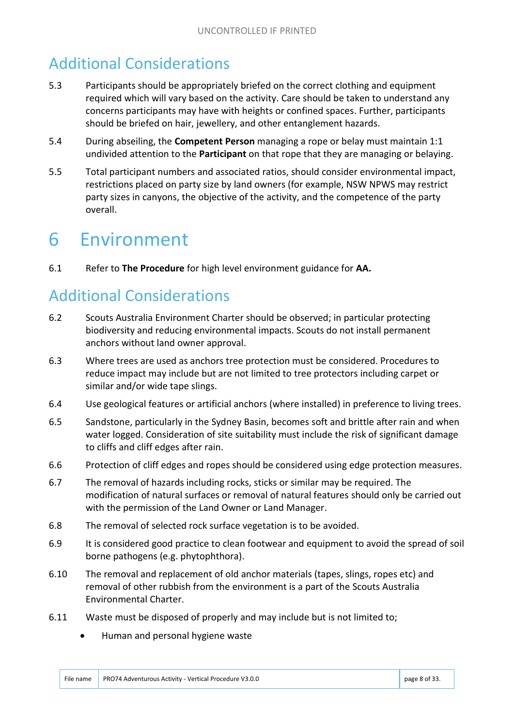#### Additional Considerations

- 5.3 Participants should be appropriately briefed on the correct clothing and equipment required which will vary based on the activity. Care should be taken to understand any concerns participants may have with heights or confined spaces. Further, participants should be briefed on hair, jewellery, and other entanglement hazards.
- 5.4 During abseiling, the **Competent Person** managing a rope or belay must maintain 1:1 undivided attention to the **Participant** on that rope that they are managing or belaying.
- 5.5 Total participant numbers and associated ratios, should consider environmental impact, restrictions placed on party size by land owners (for example, NSW NPWS may restrict party sizes in canyons, the objective of the activity, and the competence of the party overall.

#### 6 Environment

6.1 Refer to **The Procedure** for high level environment guidance for **AA.** 

#### Additional Considerations

- 6.2 Scouts Australia Environment Charter should be observed; in particular protecting biodiversity and reducing environmental impacts. Scouts do not install permanent anchors without land owner approval.
- 6.3 Where trees are used as anchors tree protection must be considered. Procedures to reduce impact may include but are not limited to tree protectors including carpet or similar and/or wide tape slings.
- 6.4 Use geological features or artificial anchors (where installed) in preference to living trees.
- 6.5 Sandstone, particularly in the Sydney Basin, becomes soft and brittle after rain and when water logged. Consideration of site suitability must include the risk of significant damage to cliffs and cliff edges after rain.
- 6.6 Protection of cliff edges and ropes should be considered using edge protection measures.
- 6.7 The removal of hazards including rocks, sticks or similar may be required. The modification of natural surfaces or removal of natural features should only be carried out with the permission of the Land Owner or Land Manager.
- 6.8 The removal of selected rock surface vegetation is to be avoided.
- 6.9 It is considered good practice to clean footwear and equipment to avoid the spread of soil borne pathogens (e.g. phytophthora).
- 6.10 The removal and replacement of old anchor materials (tapes, slings, ropes etc) and removal of other rubbish from the environment is a part of the Scouts Australia Environmental Charter.
- 6.11 Waste must be disposed of properly and may include but is not limited to;
	- Human and personal hygiene waste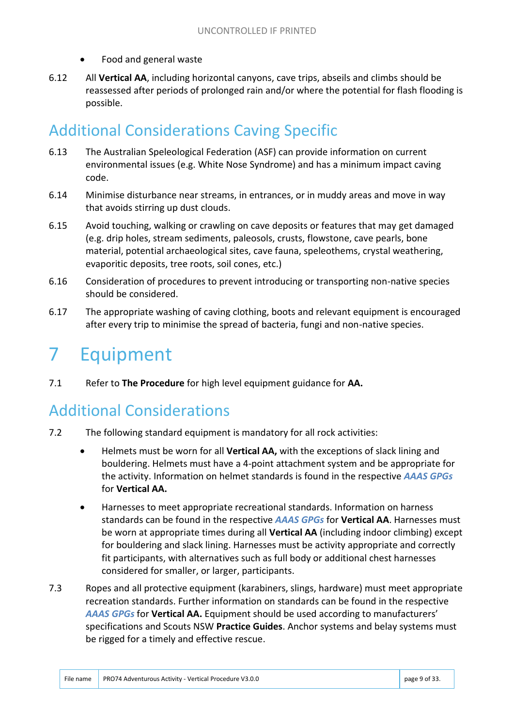- Food and general waste
- 6.12 All **Vertical AA**, including horizontal canyons, cave trips, abseils and climbs should be reassessed after periods of prolonged rain and/or where the potential for flash flooding is possible.

#### Additional Considerations Caving Specific

- 6.13 The Australian Speleological Federation (ASF) can provide information on current environmental issues (e.g. White Nose Syndrome) and has a minimum impact caving code.
- 6.14 Minimise disturbance near streams, in entrances, or in muddy areas and move in way that avoids stirring up dust clouds.
- 6.15 Avoid touching, walking or crawling on cave deposits or features that may get damaged (e.g. drip holes, stream sediments, paleosols, crusts, flowstone, cave pearls, bone material, potential archaeological sites, cave fauna, speleothems, crystal weathering, evaporitic deposits, tree roots, soil cones, etc.)
- 6.16 Consideration of procedures to prevent introducing or transporting non-native species should be considered.
- 6.17 The appropriate washing of caving clothing, boots and relevant equipment is encouraged after every trip to minimise the spread of bacteria, fungi and non-native species.

## 7 Equipment

7.1 Refer to **The Procedure** for high level equipment guidance for **AA.** 

#### Additional Considerations

- 7.2 The following standard equipment is mandatory for all rock activities:
	- Helmets must be worn for all **Vertical AA,** with the exceptions of slack lining and bouldering. Helmets must have a 4-point attachment system and be appropriate for the activity. Information on helmet standards is found in the respective *AAAS GPGs* for **Vertical AA.**
	- Harnesses to meet appropriate recreational standards. Information on harness standards can be found in the respective *AAAS GPGs* for **Vertical AA**. Harnesses must be worn at appropriate times during all **Vertical AA** (including indoor climbing) except for bouldering and slack lining. Harnesses must be activity appropriate and correctly fit participants, with alternatives such as full body or additional chest harnesses considered for smaller, or larger, participants.
- 7.3 Ropes and all protective equipment (karabiners, slings, hardware) must meet appropriate recreation standards. Further information on standards can be found in the respective *AAAS GPGs* for **Vertical AA.** Equipment should be used according to manufacturers' specifications and Scouts NSW **Practice Guides**. Anchor systems and belay systems must be rigged for a timely and effective rescue.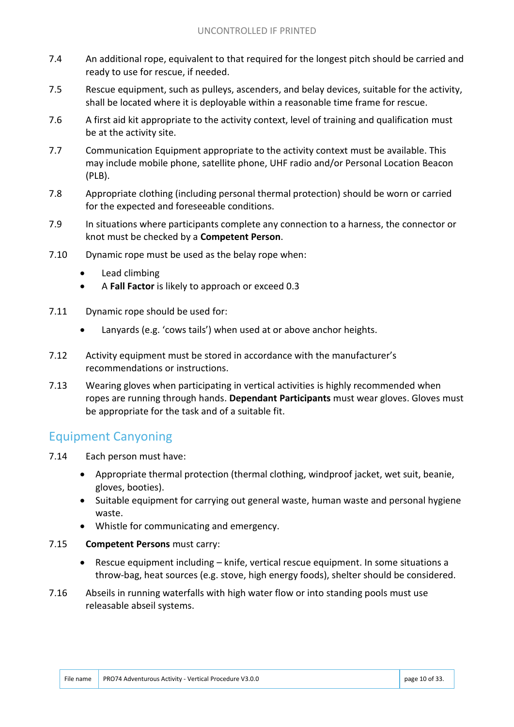- 7.4 An additional rope, equivalent to that required for the longest pitch should be carried and ready to use for rescue, if needed.
- 7.5 Rescue equipment, such as pulleys, ascenders, and belay devices, suitable for the activity, shall be located where it is deployable within a reasonable time frame for rescue.
- 7.6 A first aid kit appropriate to the activity context, level of training and qualification must be at the activity site.
- 7.7 Communication Equipment appropriate to the activity context must be available. This may include mobile phone, satellite phone, UHF radio and/or Personal Location Beacon (PLB).
- 7.8 Appropriate clothing (including personal thermal protection) should be worn or carried for the expected and foreseeable conditions.
- 7.9 In situations where participants complete any connection to a harness, the connector or knot must be checked by a **Competent Person**.
- 7.10 Dynamic rope must be used as the belay rope when:
	- Lead climbing
	- A **Fall Factor** is likely to approach or exceed 0.3
- 7.11 Dynamic rope should be used for:
	- Lanyards (e.g. 'cows tails') when used at or above anchor heights.
- 7.12 Activity equipment must be stored in accordance with the manufacturer's recommendations or instructions.
- 7.13 Wearing gloves when participating in vertical activities is highly recommended when ropes are running through hands. **Dependant Participants** must wear gloves. Gloves must be appropriate for the task and of a suitable fit.

#### Equipment Canyoning

- 7.14 Each person must have:
	- Appropriate thermal protection (thermal clothing, windproof jacket, wet suit, beanie, gloves, booties).
	- Suitable equipment for carrying out general waste, human waste and personal hygiene waste.
	- Whistle for communicating and emergency.
- 7.15 **Competent Persons** must carry:
	- Rescue equipment including knife, vertical rescue equipment. In some situations a throw-bag, heat sources (e.g. stove, high energy foods), shelter should be considered.
- 7.16 Abseils in running waterfalls with high water flow or into standing pools must use releasable abseil systems.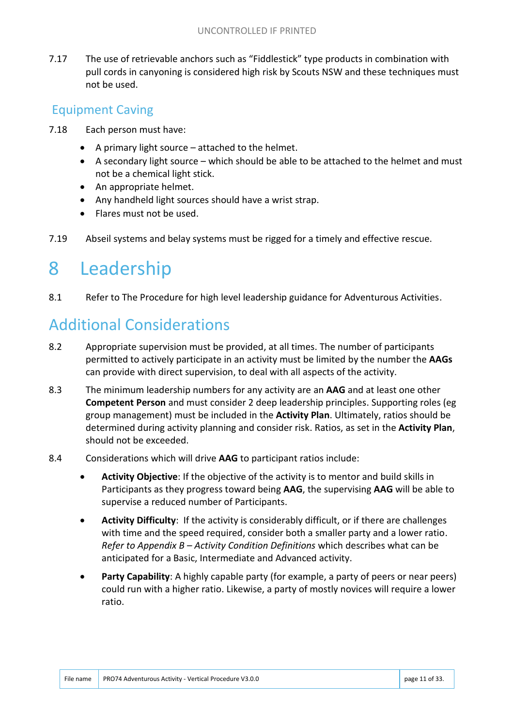7.17 The use of retrievable anchors such as "Fiddlestick" type products in combination with pull cords in canyoning is considered high risk by Scouts NSW and these techniques must not be used.

#### Equipment Caving

- 7.18 Each person must have:
	- $\bullet$  A primary light source attached to the helmet.
	- A secondary light source which should be able to be attached to the helmet and must not be a chemical light stick.
	- An appropriate helmet.
	- Any handheld light sources should have a wrist strap.
	- Flares must not be used.
- 7.19 Abseil systems and belay systems must be rigged for a timely and effective rescue.

### 8 Leadership

8.1 Refer to The Procedure for high level leadership guidance for Adventurous Activities.

#### Additional Considerations

- 8.2 Appropriate supervision must be provided, at all times. The number of participants permitted to actively participate in an activity must be limited by the number the **AAGs** can provide with direct supervision, to deal with all aspects of the activity.
- 8.3 The minimum leadership numbers for any activity are an **AAG** and at least one other **Competent Person** and must consider 2 deep leadership principles. Supporting roles (eg group management) must be included in the **Activity Plan**. Ultimately, ratios should be determined during activity planning and consider risk. Ratios, as set in the **Activity Plan**, should not be exceeded.
- 8.4 Considerations which will drive **AAG** to participant ratios include:
	- **Activity Objective**: If the objective of the activity is to mentor and build skills in Participants as they progress toward being **AAG**, the supervising **AAG** will be able to supervise a reduced number of Participants.
	- **Activity Difficulty**: If the activity is considerably difficult, or if there are challenges with time and the speed required, consider both a smaller party and a lower ratio. *Refer to Appendix B – Activity Condition Definitions* which describes what can be anticipated for a Basic, Intermediate and Advanced activity.
	- **Party Capability**: A highly capable party (for example, a party of peers or near peers) could run with a higher ratio. Likewise, a party of mostly novices will require a lower ratio.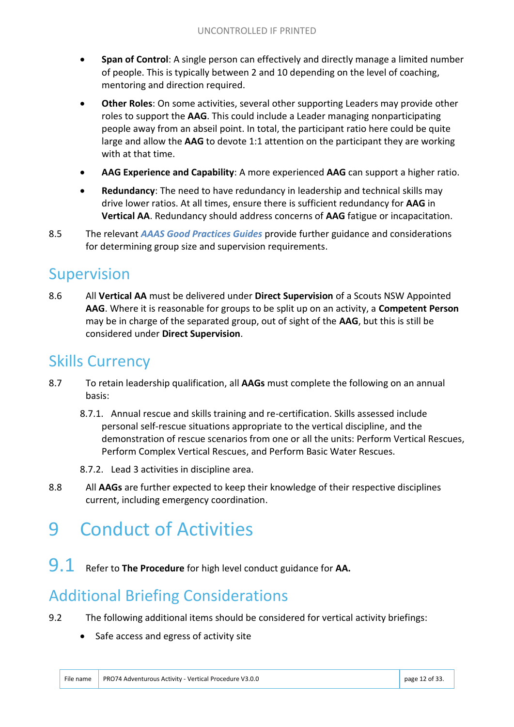- **Span of Control**: A single person can effectively and directly manage a limited number of people. This is typically between 2 and 10 depending on the level of coaching, mentoring and direction required.
- **Other Roles**: On some activities, several other supporting Leaders may provide other roles to support the **AAG**. This could include a Leader managing nonparticipating people away from an abseil point. In total, the participant ratio here could be quite large and allow the **AAG** to devote 1:1 attention on the participant they are working with at that time.
- **AAG Experience and Capability**: A more experienced **AAG** can support a higher ratio.
- **Redundancy**: The need to have redundancy in leadership and technical skills may drive lower ratios. At all times, ensure there is sufficient redundancy for **AAG** in **Vertical AA**. Redundancy should address concerns of **AAG** fatigue or incapacitation.
- 8.5 The relevant *AAAS Good Practices Guides* provide further guidance and considerations for determining group size and supervision requirements.

#### Supervision

8.6 All **Vertical AA** must be delivered under **Direct Supervision** of a Scouts NSW Appointed **AAG**. Where it is reasonable for groups to be split up on an activity, a **Competent Person** may be in charge of the separated group, out of sight of the **AAG**, but this is still be considered under **Direct Supervision**.

#### Skills Currency

- 8.7 To retain leadership qualification, all **AAGs** must complete the following on an annual basis:
	- 8.7.1. Annual rescue and skills training and re-certification. Skills assessed include personal self-rescue situations appropriate to the vertical discipline, and the demonstration of rescue scenarios from one or all the units: Perform Vertical Rescues, Perform Complex Vertical Rescues, and Perform Basic Water Rescues.
	- 8.7.2. Lead 3 activities in discipline area.
- 8.8 All **AAGs** are further expected to keep their knowledge of their respective disciplines current, including emergency coordination.

## 9 Conduct of Activities

9.1 Refer to **The Procedure** for high level conduct guidance for **AA.** 

#### Additional Briefing Considerations

- 9.2 The following additional items should be considered for vertical activity briefings:
	- Safe access and egress of activity site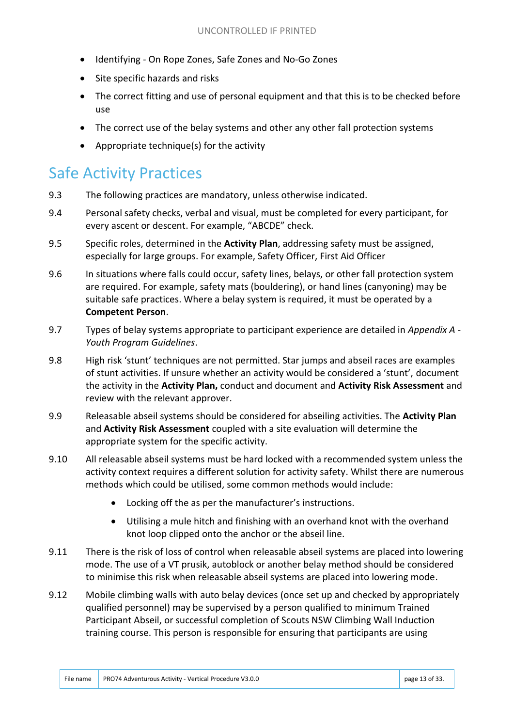- Identifying On Rope Zones, Safe Zones and No-Go Zones
- Site specific hazards and risks
- The correct fitting and use of personal equipment and that this is to be checked before use
- The correct use of the belay systems and other any other fall protection systems
- Appropriate technique(s) for the activity

#### Safe Activity Practices

- 9.3 The following practices are mandatory, unless otherwise indicated.
- 9.4 Personal safety checks, verbal and visual, must be completed for every participant, for every ascent or descent. For example, "ABCDE" check.
- 9.5 Specific roles, determined in the **Activity Plan**, addressing safety must be assigned, especially for large groups. For example, Safety Officer, First Aid Officer
- 9.6 In situations where falls could occur, safety lines, belays, or other fall protection system are required. For example, safety mats (bouldering), or hand lines (canyoning) may be suitable safe practices. Where a belay system is required, it must be operated by a **Competent Person**.
- 9.7 Types of belay systems appropriate to participant experience are detailed in *Appendix A Youth Program Guidelines*.
- 9.8 High risk 'stunt' techniques are not permitted. Star jumps and abseil races are examples of stunt activities. If unsure whether an activity would be considered a 'stunt', document the activity in the **Activity Plan,** conduct and document and **Activity Risk Assessment** and review with the relevant approver.
- 9.9 Releasable abseil systems should be considered for abseiling activities. The **Activity Plan** and **Activity Risk Assessment** coupled with a site evaluation will determine the appropriate system for the specific activity.
- 9.10 All releasable abseil systems must be hard locked with a recommended system unless the activity context requires a different solution for activity safety. Whilst there are numerous methods which could be utilised, some common methods would include:
	- Locking off the as per the manufacturer's instructions.
	- Utilising a mule hitch and finishing with an overhand knot with the overhand knot loop clipped onto the anchor or the abseil line.
- 9.11 There is the risk of loss of control when releasable abseil systems are placed into lowering mode. The use of a VT prusik, autoblock or another belay method should be considered to minimise this risk when releasable abseil systems are placed into lowering mode.
- 9.12 Mobile climbing walls with auto belay devices (once set up and checked by appropriately qualified personnel) may be supervised by a person qualified to minimum Trained Participant Abseil, or successful completion of Scouts NSW Climbing Wall Induction training course. This person is responsible for ensuring that participants are using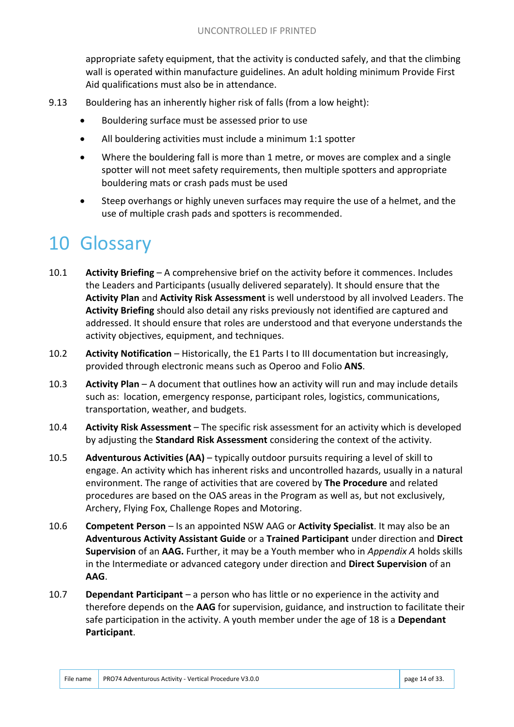appropriate safety equipment, that the activity is conducted safely, and that the climbing wall is operated within manufacture guidelines. An adult holding minimum Provide First Aid qualifications must also be in attendance.

- 9.13 Bouldering has an inherently higher risk of falls (from a low height):
	- Bouldering surface must be assessed prior to use
	- All bouldering activities must include a minimum 1:1 spotter
	- Where the bouldering fall is more than 1 metre, or moves are complex and a single spotter will not meet safety requirements, then multiple spotters and appropriate bouldering mats or crash pads must be used
	- Steep overhangs or highly uneven surfaces may require the use of a helmet, and the use of multiple crash pads and spotters is recommended.

### 10 Glossary

- 10.1 **Activity Briefing** A comprehensive brief on the activity before it commences. Includes the Leaders and Participants (usually delivered separately). It should ensure that the **Activity Plan** and **Activity Risk Assessment** is well understood by all involved Leaders. The **Activity Briefing** should also detail any risks previously not identified are captured and addressed. It should ensure that roles are understood and that everyone understands the activity objectives, equipment, and techniques.
- 10.2 **Activity Notification** Historically, the E1 Parts I to III documentation but increasingly, provided through electronic means such as Operoo and Folio **ANS**.
- 10.3 **Activity Plan** A document that outlines how an activity will run and may include details such as: location, emergency response, participant roles, logistics, communications, transportation, weather, and budgets.
- 10.4 **Activity Risk Assessment** The specific risk assessment for an activity which is developed by adjusting the **Standard Risk Assessment** considering the context of the activity.
- 10.5 **Adventurous Activities (AA)**  typically outdoor pursuits requiring a level of skill to engage. An activity which has inherent risks and uncontrolled hazards, usually in a natural environment. The range of activities that are covered by **The Procedure** and related procedures are based on the OAS areas in the Program as well as, but not exclusively, Archery, Flying Fox, Challenge Ropes and Motoring.
- 10.6 **Competent Person**  Is an appointed NSW AAG or **Activity Specialist**. It may also be an **Adventurous Activity Assistant Guide** or a **Trained Participant** under direction and **Direct Supervision** of an **AAG.** Further, it may be a Youth member who in *Appendix A* holds skills in the Intermediate or advanced category under direction and **Direct Supervision** of an **AAG**.
- 10.7 **Dependant Participant**  a person who has little or no experience in the activity and therefore depends on the **AAG** for supervision, guidance, and instruction to facilitate their safe participation in the activity. A youth member under the age of 18 is a **Dependant Participant**.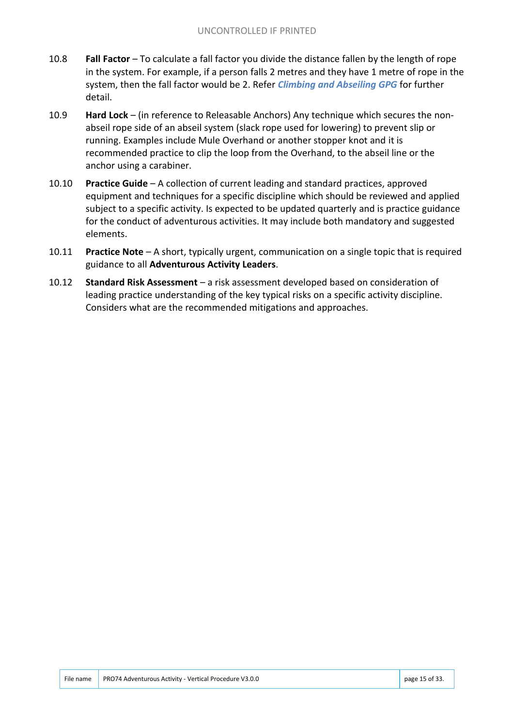- 10.8 **Fall Factor** To calculate a fall factor you divide the distance fallen by the length of rope in the system. For example, if a person falls 2 metres and they have 1 metre of rope in the system, then the fall factor would be 2. Refer *Climbing and Abseiling GPG* for further detail.
- 10.9 **Hard Lock** (in reference to Releasable Anchors) Any technique which secures the nonabseil rope side of an abseil system (slack rope used for lowering) to prevent slip or running. Examples include Mule Overhand or another stopper knot and it is recommended practice to clip the loop from the Overhand, to the abseil line or the anchor using a carabiner.
- 10.10 **Practice Guide**  A collection of current leading and standard practices, approved equipment and techniques for a specific discipline which should be reviewed and applied subject to a specific activity. Is expected to be updated quarterly and is practice guidance for the conduct of adventurous activities. It may include both mandatory and suggested elements.
- 10.11 **Practice Note**  A short, typically urgent, communication on a single topic that is required guidance to all **Adventurous Activity Leaders**.
- 10.12 **Standard Risk Assessment**  a risk assessment developed based on consideration of leading practice understanding of the key typical risks on a specific activity discipline. Considers what are the recommended mitigations and approaches.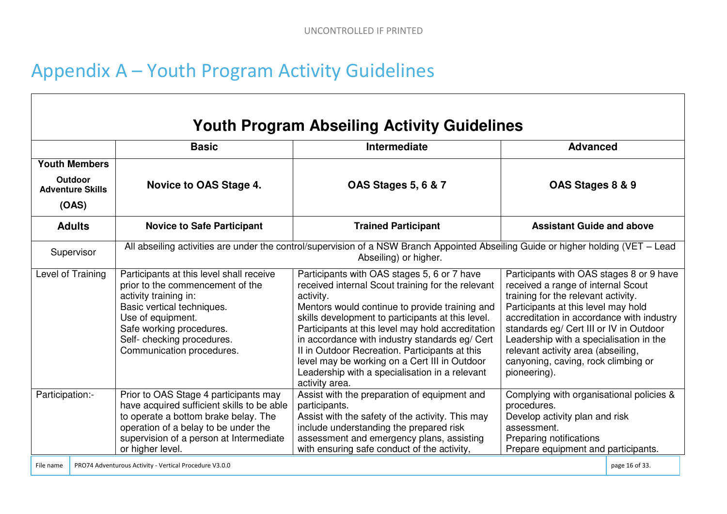### Appendix A – Youth Program Activity Guidelines

| <b>Youth Program Abseiling Activity Guidelines</b> |                                                                                                                                                                                                                                                 |                                                                                                                                                                                                                                                                                                                                                                                                                                                                                                    |                                                                                                                                                                                                                                                                                                                                                                                              |  |
|----------------------------------------------------|-------------------------------------------------------------------------------------------------------------------------------------------------------------------------------------------------------------------------------------------------|----------------------------------------------------------------------------------------------------------------------------------------------------------------------------------------------------------------------------------------------------------------------------------------------------------------------------------------------------------------------------------------------------------------------------------------------------------------------------------------------------|----------------------------------------------------------------------------------------------------------------------------------------------------------------------------------------------------------------------------------------------------------------------------------------------------------------------------------------------------------------------------------------------|--|
|                                                    | <b>Basic</b>                                                                                                                                                                                                                                    | <b>Intermediate</b>                                                                                                                                                                                                                                                                                                                                                                                                                                                                                | <b>Advanced</b>                                                                                                                                                                                                                                                                                                                                                                              |  |
| <b>Youth Members</b>                               |                                                                                                                                                                                                                                                 |                                                                                                                                                                                                                                                                                                                                                                                                                                                                                                    |                                                                                                                                                                                                                                                                                                                                                                                              |  |
| Outdoor<br><b>Adventure Skills</b>                 | Novice to OAS Stage 4.                                                                                                                                                                                                                          | <b>OAS Stages 5, 6 &amp; 7</b>                                                                                                                                                                                                                                                                                                                                                                                                                                                                     | OAS Stages 8 & 9                                                                                                                                                                                                                                                                                                                                                                             |  |
| (OAS)                                              |                                                                                                                                                                                                                                                 |                                                                                                                                                                                                                                                                                                                                                                                                                                                                                                    |                                                                                                                                                                                                                                                                                                                                                                                              |  |
| <b>Adults</b>                                      | <b>Novice to Safe Participant</b>                                                                                                                                                                                                               | <b>Trained Participant</b>                                                                                                                                                                                                                                                                                                                                                                                                                                                                         | <b>Assistant Guide and above</b>                                                                                                                                                                                                                                                                                                                                                             |  |
| Supervisor                                         | All abseiling activities are under the control/supervision of a NSW Branch Appointed Abseiling Guide or higher holding (VET – Lead<br>Abseiling) or higher.                                                                                     |                                                                                                                                                                                                                                                                                                                                                                                                                                                                                                    |                                                                                                                                                                                                                                                                                                                                                                                              |  |
| Level of Training                                  | Participants at this level shall receive<br>prior to the commencement of the<br>activity training in:<br>Basic vertical techniques.<br>Use of equipment.<br>Safe working procedures.<br>Self- checking procedures.<br>Communication procedures. | Participants with OAS stages 5, 6 or 7 have<br>received internal Scout training for the relevant<br>activity.<br>Mentors would continue to provide training and<br>skills development to participants at this level.<br>Participants at this level may hold accreditation<br>in accordance with industry standards eg/ Cert<br>II in Outdoor Recreation. Participants at this<br>level may be working on a Cert III in Outdoor<br>Leadership with a specialisation in a relevant<br>activity area. | Participants with OAS stages 8 or 9 have<br>received a range of internal Scout<br>training for the relevant activity.<br>Participants at this level may hold<br>accreditation in accordance with industry<br>standards eg/ Cert III or IV in Outdoor<br>Leadership with a specialisation in the<br>relevant activity area (abseiling,<br>canyoning, caving, rock climbing or<br>pioneering). |  |
| Participation:-                                    | Prior to OAS Stage 4 participants may<br>have acquired sufficient skills to be able<br>to operate a bottom brake belay. The<br>operation of a belay to be under the<br>supervision of a person at Intermediate<br>or higher level.              | Assist with the preparation of equipment and<br>participants.<br>Assist with the safety of the activity. This may<br>include understanding the prepared risk<br>assessment and emergency plans, assisting<br>with ensuring safe conduct of the activity,                                                                                                                                                                                                                                           | Complying with organisational policies &<br>procedures.<br>Develop activity plan and risk<br>assessment.<br>Preparing notifications<br>Prepare equipment and participants.                                                                                                                                                                                                                   |  |
| File name                                          | PRO74 Adventurous Activity - Vertical Procedure V3.0.0                                                                                                                                                                                          |                                                                                                                                                                                                                                                                                                                                                                                                                                                                                                    | page 16 of 33.                                                                                                                                                                                                                                                                                                                                                                               |  |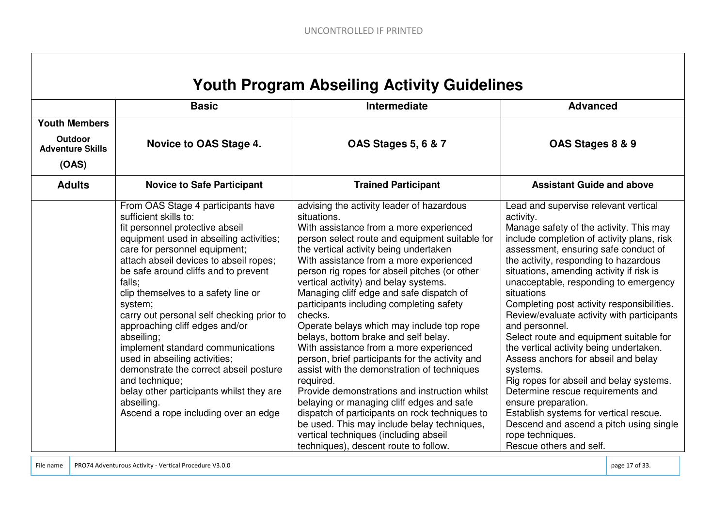| <b>Youth Program Abseiling Activity Guidelines</b> |                                                                                                                                                                                                                                                                                                                                                                                                                                                                                                                                                                                                                                                           |                                                                                                                                                                                                                                                                                                                                                                                                                                                                                                                                                                                                                                                                                                                                                                                                                                                                                                                                                                         |                                                                                                                                                                                                                                                                                                                                                                                                                                                                                                                                                                                                                                                                                                                                                                                                                                  |  |
|----------------------------------------------------|-----------------------------------------------------------------------------------------------------------------------------------------------------------------------------------------------------------------------------------------------------------------------------------------------------------------------------------------------------------------------------------------------------------------------------------------------------------------------------------------------------------------------------------------------------------------------------------------------------------------------------------------------------------|-------------------------------------------------------------------------------------------------------------------------------------------------------------------------------------------------------------------------------------------------------------------------------------------------------------------------------------------------------------------------------------------------------------------------------------------------------------------------------------------------------------------------------------------------------------------------------------------------------------------------------------------------------------------------------------------------------------------------------------------------------------------------------------------------------------------------------------------------------------------------------------------------------------------------------------------------------------------------|----------------------------------------------------------------------------------------------------------------------------------------------------------------------------------------------------------------------------------------------------------------------------------------------------------------------------------------------------------------------------------------------------------------------------------------------------------------------------------------------------------------------------------------------------------------------------------------------------------------------------------------------------------------------------------------------------------------------------------------------------------------------------------------------------------------------------------|--|
|                                                    | <b>Basic</b>                                                                                                                                                                                                                                                                                                                                                                                                                                                                                                                                                                                                                                              | <b>Intermediate</b>                                                                                                                                                                                                                                                                                                                                                                                                                                                                                                                                                                                                                                                                                                                                                                                                                                                                                                                                                     | <b>Advanced</b>                                                                                                                                                                                                                                                                                                                                                                                                                                                                                                                                                                                                                                                                                                                                                                                                                  |  |
| <b>Youth Members</b>                               |                                                                                                                                                                                                                                                                                                                                                                                                                                                                                                                                                                                                                                                           |                                                                                                                                                                                                                                                                                                                                                                                                                                                                                                                                                                                                                                                                                                                                                                                                                                                                                                                                                                         |                                                                                                                                                                                                                                                                                                                                                                                                                                                                                                                                                                                                                                                                                                                                                                                                                                  |  |
| Outdoor<br><b>Adventure Skills</b>                 | Novice to OAS Stage 4.                                                                                                                                                                                                                                                                                                                                                                                                                                                                                                                                                                                                                                    | <b>OAS Stages 5, 6 &amp; 7</b>                                                                                                                                                                                                                                                                                                                                                                                                                                                                                                                                                                                                                                                                                                                                                                                                                                                                                                                                          | OAS Stages 8 & 9                                                                                                                                                                                                                                                                                                                                                                                                                                                                                                                                                                                                                                                                                                                                                                                                                 |  |
| (OAS)                                              |                                                                                                                                                                                                                                                                                                                                                                                                                                                                                                                                                                                                                                                           |                                                                                                                                                                                                                                                                                                                                                                                                                                                                                                                                                                                                                                                                                                                                                                                                                                                                                                                                                                         |                                                                                                                                                                                                                                                                                                                                                                                                                                                                                                                                                                                                                                                                                                                                                                                                                                  |  |
| <b>Adults</b>                                      | <b>Novice to Safe Participant</b>                                                                                                                                                                                                                                                                                                                                                                                                                                                                                                                                                                                                                         | <b>Trained Participant</b>                                                                                                                                                                                                                                                                                                                                                                                                                                                                                                                                                                                                                                                                                                                                                                                                                                                                                                                                              | <b>Assistant Guide and above</b>                                                                                                                                                                                                                                                                                                                                                                                                                                                                                                                                                                                                                                                                                                                                                                                                 |  |
|                                                    | From OAS Stage 4 participants have<br>sufficient skills to:<br>fit personnel protective abseil<br>equipment used in abseiling activities;<br>care for personnel equipment;<br>attach abseil devices to abseil ropes;<br>be safe around cliffs and to prevent<br>falls;<br>clip themselves to a safety line or<br>system;<br>carry out personal self checking prior to<br>approaching cliff edges and/or<br>abseiling:<br>implement standard communications<br>used in abseiling activities;<br>demonstrate the correct abseil posture<br>and technique;<br>belay other participants whilst they are<br>abseiling.<br>Ascend a rope including over an edge | advising the activity leader of hazardous<br>situations.<br>With assistance from a more experienced<br>person select route and equipment suitable for<br>the vertical activity being undertaken<br>With assistance from a more experienced<br>person rig ropes for abseil pitches (or other<br>vertical activity) and belay systems.<br>Managing cliff edge and safe dispatch of<br>participants including completing safety<br>checks.<br>Operate belays which may include top rope<br>belays, bottom brake and self belay.<br>With assistance from a more experienced<br>person, brief participants for the activity and<br>assist with the demonstration of techniques<br>required.<br>Provide demonstrations and instruction whilst<br>belaying or managing cliff edges and safe<br>dispatch of participants on rock techniques to<br>be used. This may include belay techniques,<br>vertical techniques (including abseil<br>techniques), descent route to follow. | Lead and supervise relevant vertical<br>activity.<br>Manage safety of the activity. This may<br>include completion of activity plans, risk<br>assessment, ensuring safe conduct of<br>the activity, responding to hazardous<br>situations, amending activity if risk is<br>unacceptable, responding to emergency<br>situations<br>Completing post activity responsibilities.<br>Review/evaluate activity with participants<br>and personnel.<br>Select route and equipment suitable for<br>the vertical activity being undertaken.<br>Assess anchors for abseil and belay<br>systems.<br>Rig ropes for abseil and belay systems.<br>Determine rescue requirements and<br>ensure preparation.<br>Establish systems for vertical rescue.<br>Descend and ascend a pitch using single<br>rope techniques.<br>Rescue others and self. |  |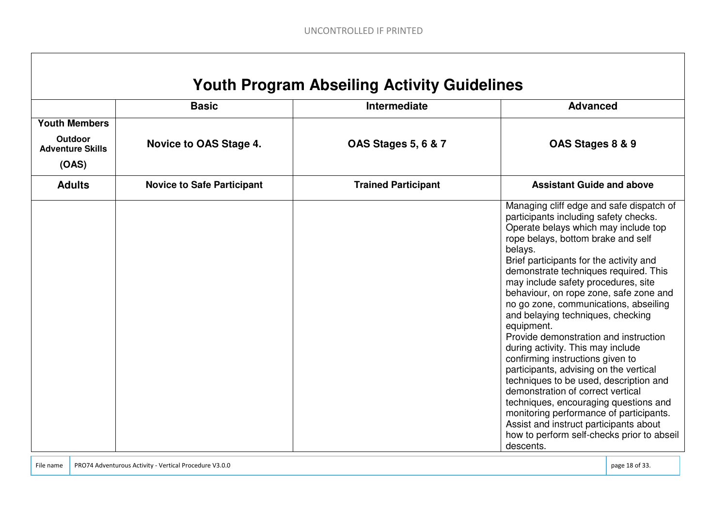| <b>Youth Program Abseiling Activity Guidelines</b> |                                   |                                |                                                                                                                                                                                                                                                                                                                                                                                                                                                                                                                                                                                                                                                                                                                                                                                                                                                                                 |  |
|----------------------------------------------------|-----------------------------------|--------------------------------|---------------------------------------------------------------------------------------------------------------------------------------------------------------------------------------------------------------------------------------------------------------------------------------------------------------------------------------------------------------------------------------------------------------------------------------------------------------------------------------------------------------------------------------------------------------------------------------------------------------------------------------------------------------------------------------------------------------------------------------------------------------------------------------------------------------------------------------------------------------------------------|--|
|                                                    | <b>Basic</b>                      | <b>Intermediate</b>            | <b>Advanced</b>                                                                                                                                                                                                                                                                                                                                                                                                                                                                                                                                                                                                                                                                                                                                                                                                                                                                 |  |
| <b>Youth Members</b>                               |                                   |                                |                                                                                                                                                                                                                                                                                                                                                                                                                                                                                                                                                                                                                                                                                                                                                                                                                                                                                 |  |
| Outdoor<br><b>Adventure Skills</b>                 | <b>Novice to OAS Stage 4.</b>     | <b>OAS Stages 5, 6 &amp; 7</b> | OAS Stages 8 & 9                                                                                                                                                                                                                                                                                                                                                                                                                                                                                                                                                                                                                                                                                                                                                                                                                                                                |  |
| (OAS)                                              |                                   |                                |                                                                                                                                                                                                                                                                                                                                                                                                                                                                                                                                                                                                                                                                                                                                                                                                                                                                                 |  |
| <b>Adults</b>                                      | <b>Novice to Safe Participant</b> | <b>Trained Participant</b>     | <b>Assistant Guide and above</b>                                                                                                                                                                                                                                                                                                                                                                                                                                                                                                                                                                                                                                                                                                                                                                                                                                                |  |
|                                                    |                                   |                                | Managing cliff edge and safe dispatch of<br>participants including safety checks.<br>Operate belays which may include top<br>rope belays, bottom brake and self<br>belays.<br>Brief participants for the activity and<br>demonstrate techniques required. This<br>may include safety procedures, site<br>behaviour, on rope zone, safe zone and<br>no go zone, communications, abseiling<br>and belaying techniques, checking<br>equipment.<br>Provide demonstration and instruction<br>during activity. This may include<br>confirming instructions given to<br>participants, advising on the vertical<br>techniques to be used, description and<br>demonstration of correct vertical<br>techniques, encouraging questions and<br>monitoring performance of participants.<br>Assist and instruct participants about<br>how to perform self-checks prior to abseil<br>descents. |  |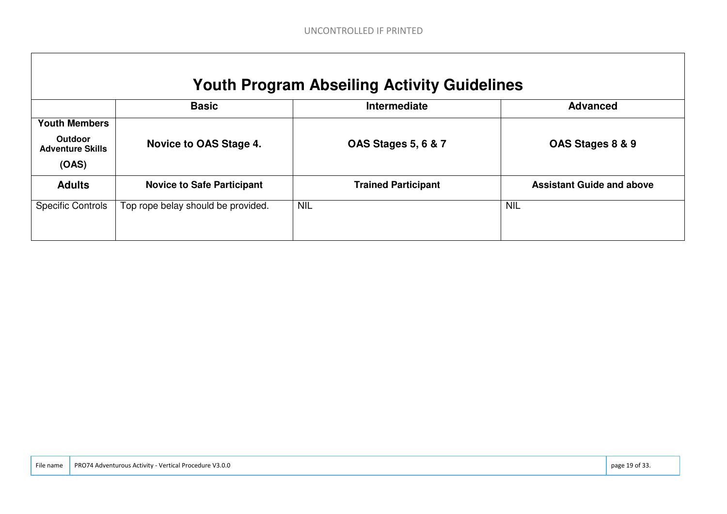| <b>Youth Program Abseiling Activity Guidelines</b>                         |                                    |                                |                                  |  |
|----------------------------------------------------------------------------|------------------------------------|--------------------------------|----------------------------------|--|
|                                                                            | <b>Basic</b>                       | <b>Intermediate</b>            | <b>Advanced</b>                  |  |
| <b>Youth Members</b><br><b>Outdoor</b><br><b>Adventure Skills</b><br>(OAS) | Novice to OAS Stage 4.             | <b>OAS Stages 5, 6 &amp; 7</b> | OAS Stages 8 & 9                 |  |
| <b>Adults</b>                                                              | <b>Novice to Safe Participant</b>  | <b>Trained Participant</b>     | <b>Assistant Guide and above</b> |  |
| <b>Specific Controls</b>                                                   | Top rope belay should be provided. | <b>NIL</b>                     | <b>NIL</b>                       |  |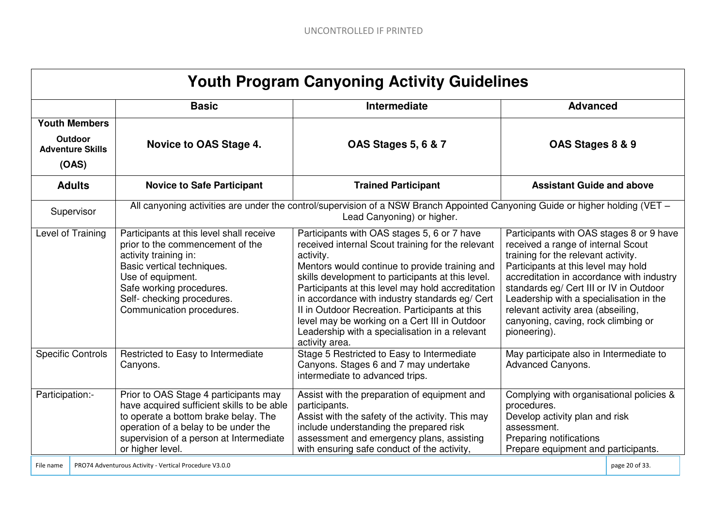| <b>Youth Program Canyoning Activity Guidelines</b>                                    |                                                                                                                                                                                                                                                 |                                                                                                                                                                                                                                                                                                                                                                                                                                                                                                    |                                                                                                                                                                                                                                                                                                                                                                                              |  |
|---------------------------------------------------------------------------------------|-------------------------------------------------------------------------------------------------------------------------------------------------------------------------------------------------------------------------------------------------|----------------------------------------------------------------------------------------------------------------------------------------------------------------------------------------------------------------------------------------------------------------------------------------------------------------------------------------------------------------------------------------------------------------------------------------------------------------------------------------------------|----------------------------------------------------------------------------------------------------------------------------------------------------------------------------------------------------------------------------------------------------------------------------------------------------------------------------------------------------------------------------------------------|--|
|                                                                                       | <b>Basic</b>                                                                                                                                                                                                                                    | <b>Intermediate</b>                                                                                                                                                                                                                                                                                                                                                                                                                                                                                | <b>Advanced</b>                                                                                                                                                                                                                                                                                                                                                                              |  |
| <b>Youth Members</b>                                                                  |                                                                                                                                                                                                                                                 |                                                                                                                                                                                                                                                                                                                                                                                                                                                                                                    |                                                                                                                                                                                                                                                                                                                                                                                              |  |
| Outdoor<br><b>Adventure Skills</b>                                                    | <b>Novice to OAS Stage 4.</b>                                                                                                                                                                                                                   | <b>OAS Stages 5, 6 &amp; 7</b>                                                                                                                                                                                                                                                                                                                                                                                                                                                                     | OAS Stages 8 & 9                                                                                                                                                                                                                                                                                                                                                                             |  |
| (OAS)                                                                                 |                                                                                                                                                                                                                                                 |                                                                                                                                                                                                                                                                                                                                                                                                                                                                                                    |                                                                                                                                                                                                                                                                                                                                                                                              |  |
| <b>Adults</b>                                                                         | <b>Novice to Safe Participant</b>                                                                                                                                                                                                               | <b>Trained Participant</b>                                                                                                                                                                                                                                                                                                                                                                                                                                                                         | <b>Assistant Guide and above</b>                                                                                                                                                                                                                                                                                                                                                             |  |
| Supervisor                                                                            |                                                                                                                                                                                                                                                 | All canyoning activities are under the control/supervision of a NSW Branch Appointed Canyoning Guide or higher holding (VET -<br>Lead Canyoning) or higher.                                                                                                                                                                                                                                                                                                                                        |                                                                                                                                                                                                                                                                                                                                                                                              |  |
| <b>Level of Training</b>                                                              | Participants at this level shall receive<br>prior to the commencement of the<br>activity training in:<br>Basic vertical techniques.<br>Use of equipment.<br>Safe working procedures.<br>Self- checking procedures.<br>Communication procedures. | Participants with OAS stages 5, 6 or 7 have<br>received internal Scout training for the relevant<br>activity.<br>Mentors would continue to provide training and<br>skills development to participants at this level.<br>Participants at this level may hold accreditation<br>in accordance with industry standards eg/ Cert<br>II in Outdoor Recreation. Participants at this<br>level may be working on a Cert III in Outdoor<br>Leadership with a specialisation in a relevant<br>activity area. | Participants with OAS stages 8 or 9 have<br>received a range of internal Scout<br>training for the relevant activity.<br>Participants at this level may hold<br>accreditation in accordance with industry<br>standards eg/ Cert III or IV in Outdoor<br>Leadership with a specialisation in the<br>relevant activity area (abseiling,<br>canyoning, caving, rock climbing or<br>pioneering). |  |
| <b>Specific Controls</b>                                                              | Restricted to Easy to Intermediate<br>Canyons.                                                                                                                                                                                                  | Stage 5 Restricted to Easy to Intermediate<br>Canyons. Stages 6 and 7 may undertake<br>intermediate to advanced trips.                                                                                                                                                                                                                                                                                                                                                                             | May participate also in Intermediate to<br>Advanced Canyons.                                                                                                                                                                                                                                                                                                                                 |  |
| Participation:-                                                                       | Prior to OAS Stage 4 participants may<br>have acquired sufficient skills to be able<br>to operate a bottom brake belay. The<br>operation of a belay to be under the<br>supervision of a person at Intermediate<br>or higher level.              | Assist with the preparation of equipment and<br>participants.<br>Assist with the safety of the activity. This may<br>include understanding the prepared risk<br>assessment and emergency plans, assisting<br>with ensuring safe conduct of the activity,                                                                                                                                                                                                                                           | Complying with organisational policies &<br>procedures.<br>Develop activity plan and risk<br>assessment.<br>Preparing notifications<br>Prepare equipment and participants.                                                                                                                                                                                                                   |  |
| page 20 of 33.<br>PRO74 Adventurous Activity - Vertical Procedure V3.0.0<br>File name |                                                                                                                                                                                                                                                 |                                                                                                                                                                                                                                                                                                                                                                                                                                                                                                    |                                                                                                                                                                                                                                                                                                                                                                                              |  |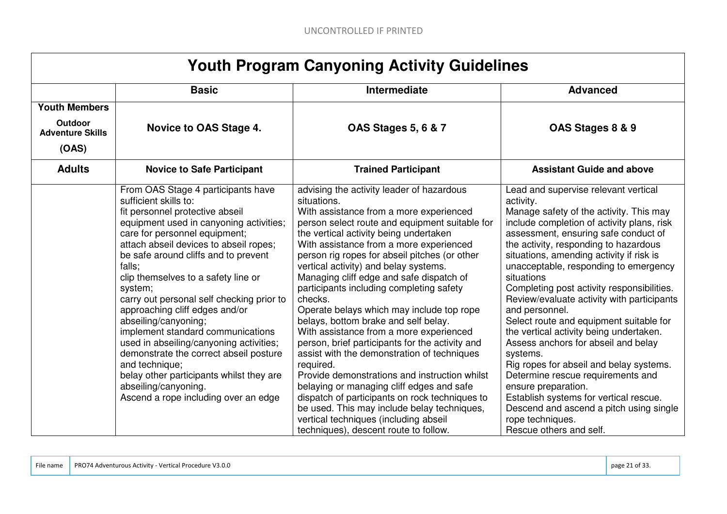| <b>Youth Program Canyoning Activity Guidelines</b> |                                                                                                                                                                                                                                                                                                                                                                                                                                                                                                                                                                                                                                                                                         |                                                                                                                                                                                                                                                                                                                                                                                                                                                                                                                                                                                                                                                                                                                                                                                                                                                                                                                                                                         |                                                                                                                                                                                                                                                                                                                                                                                                                                                                                                                                                                                                                                                                                                                                                                                                                                  |
|----------------------------------------------------|-----------------------------------------------------------------------------------------------------------------------------------------------------------------------------------------------------------------------------------------------------------------------------------------------------------------------------------------------------------------------------------------------------------------------------------------------------------------------------------------------------------------------------------------------------------------------------------------------------------------------------------------------------------------------------------------|-------------------------------------------------------------------------------------------------------------------------------------------------------------------------------------------------------------------------------------------------------------------------------------------------------------------------------------------------------------------------------------------------------------------------------------------------------------------------------------------------------------------------------------------------------------------------------------------------------------------------------------------------------------------------------------------------------------------------------------------------------------------------------------------------------------------------------------------------------------------------------------------------------------------------------------------------------------------------|----------------------------------------------------------------------------------------------------------------------------------------------------------------------------------------------------------------------------------------------------------------------------------------------------------------------------------------------------------------------------------------------------------------------------------------------------------------------------------------------------------------------------------------------------------------------------------------------------------------------------------------------------------------------------------------------------------------------------------------------------------------------------------------------------------------------------------|
|                                                    | <b>Intermediate</b><br><b>Basic</b><br><b>Advanced</b>                                                                                                                                                                                                                                                                                                                                                                                                                                                                                                                                                                                                                                  |                                                                                                                                                                                                                                                                                                                                                                                                                                                                                                                                                                                                                                                                                                                                                                                                                                                                                                                                                                         |                                                                                                                                                                                                                                                                                                                                                                                                                                                                                                                                                                                                                                                                                                                                                                                                                                  |
| <b>Youth Members</b>                               |                                                                                                                                                                                                                                                                                                                                                                                                                                                                                                                                                                                                                                                                                         |                                                                                                                                                                                                                                                                                                                                                                                                                                                                                                                                                                                                                                                                                                                                                                                                                                                                                                                                                                         |                                                                                                                                                                                                                                                                                                                                                                                                                                                                                                                                                                                                                                                                                                                                                                                                                                  |
| Outdoor<br><b>Adventure Skills</b>                 | <b>Novice to OAS Stage 4.</b>                                                                                                                                                                                                                                                                                                                                                                                                                                                                                                                                                                                                                                                           | <b>OAS Stages 5, 6 &amp; 7</b>                                                                                                                                                                                                                                                                                                                                                                                                                                                                                                                                                                                                                                                                                                                                                                                                                                                                                                                                          | OAS Stages 8 & 9                                                                                                                                                                                                                                                                                                                                                                                                                                                                                                                                                                                                                                                                                                                                                                                                                 |
| (OAS)                                              |                                                                                                                                                                                                                                                                                                                                                                                                                                                                                                                                                                                                                                                                                         |                                                                                                                                                                                                                                                                                                                                                                                                                                                                                                                                                                                                                                                                                                                                                                                                                                                                                                                                                                         |                                                                                                                                                                                                                                                                                                                                                                                                                                                                                                                                                                                                                                                                                                                                                                                                                                  |
| <b>Adults</b>                                      | <b>Novice to Safe Participant</b>                                                                                                                                                                                                                                                                                                                                                                                                                                                                                                                                                                                                                                                       | <b>Trained Participant</b>                                                                                                                                                                                                                                                                                                                                                                                                                                                                                                                                                                                                                                                                                                                                                                                                                                                                                                                                              | <b>Assistant Guide and above</b>                                                                                                                                                                                                                                                                                                                                                                                                                                                                                                                                                                                                                                                                                                                                                                                                 |
|                                                    | From OAS Stage 4 participants have<br>sufficient skills to:<br>fit personnel protective abseil<br>equipment used in canyoning activities;<br>care for personnel equipment;<br>attach abseil devices to abseil ropes;<br>be safe around cliffs and to prevent<br>falls;<br>clip themselves to a safety line or<br>system;<br>carry out personal self checking prior to<br>approaching cliff edges and/or<br>abseiling/canyoning;<br>implement standard communications<br>used in abseiling/canyoning activities;<br>demonstrate the correct abseil posture<br>and technique;<br>belay other participants whilst they are<br>abseiling/canyoning.<br>Ascend a rope including over an edge | advising the activity leader of hazardous<br>situations.<br>With assistance from a more experienced<br>person select route and equipment suitable for<br>the vertical activity being undertaken<br>With assistance from a more experienced<br>person rig ropes for abseil pitches (or other<br>vertical activity) and belay systems.<br>Managing cliff edge and safe dispatch of<br>participants including completing safety<br>checks.<br>Operate belays which may include top rope<br>belays, bottom brake and self belay.<br>With assistance from a more experienced<br>person, brief participants for the activity and<br>assist with the demonstration of techniques<br>required.<br>Provide demonstrations and instruction whilst<br>belaying or managing cliff edges and safe<br>dispatch of participants on rock techniques to<br>be used. This may include belay techniques,<br>vertical techniques (including abseil<br>techniques), descent route to follow. | Lead and supervise relevant vertical<br>activity.<br>Manage safety of the activity. This may<br>include completion of activity plans, risk<br>assessment, ensuring safe conduct of<br>the activity, responding to hazardous<br>situations, amending activity if risk is<br>unacceptable, responding to emergency<br>situations<br>Completing post activity responsibilities.<br>Review/evaluate activity with participants<br>and personnel.<br>Select route and equipment suitable for<br>the vertical activity being undertaken.<br>Assess anchors for abseil and belay<br>systems.<br>Rig ropes for abseil and belay systems.<br>Determine rescue requirements and<br>ensure preparation.<br>Establish systems for vertical rescue.<br>Descend and ascend a pitch using single<br>rope techniques.<br>Rescue others and self. |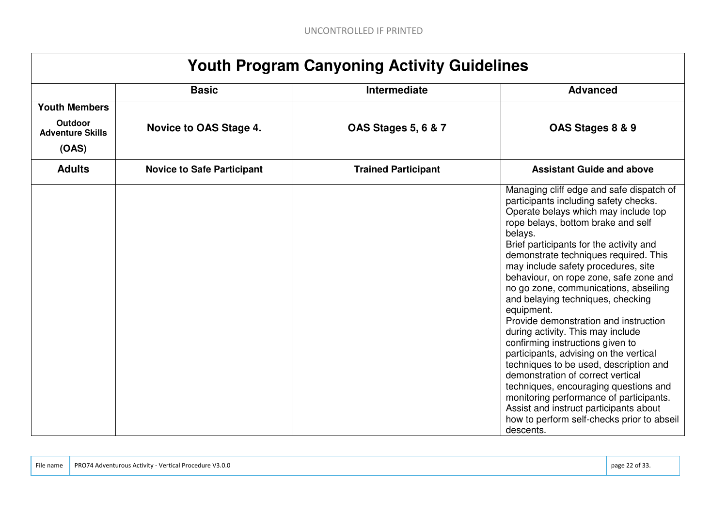| <b>Youth Program Canyoning Activity Guidelines</b> |                                   |                                |                                                                                                                                                                                                                                                                                                                                                                                                                                                                                                                                                                                                                                                                                                                                                                                                                                                                                 |
|----------------------------------------------------|-----------------------------------|--------------------------------|---------------------------------------------------------------------------------------------------------------------------------------------------------------------------------------------------------------------------------------------------------------------------------------------------------------------------------------------------------------------------------------------------------------------------------------------------------------------------------------------------------------------------------------------------------------------------------------------------------------------------------------------------------------------------------------------------------------------------------------------------------------------------------------------------------------------------------------------------------------------------------|
|                                                    | <b>Basic</b>                      | <b>Intermediate</b>            | <b>Advanced</b>                                                                                                                                                                                                                                                                                                                                                                                                                                                                                                                                                                                                                                                                                                                                                                                                                                                                 |
| <b>Youth Members</b>                               |                                   |                                |                                                                                                                                                                                                                                                                                                                                                                                                                                                                                                                                                                                                                                                                                                                                                                                                                                                                                 |
| Outdoor<br><b>Adventure Skills</b>                 | Novice to OAS Stage 4.            | <b>OAS Stages 5, 6 &amp; 7</b> | OAS Stages 8 & 9                                                                                                                                                                                                                                                                                                                                                                                                                                                                                                                                                                                                                                                                                                                                                                                                                                                                |
| (OAS)                                              |                                   |                                |                                                                                                                                                                                                                                                                                                                                                                                                                                                                                                                                                                                                                                                                                                                                                                                                                                                                                 |
| <b>Adults</b>                                      | <b>Novice to Safe Participant</b> | <b>Trained Participant</b>     | <b>Assistant Guide and above</b>                                                                                                                                                                                                                                                                                                                                                                                                                                                                                                                                                                                                                                                                                                                                                                                                                                                |
|                                                    |                                   |                                | Managing cliff edge and safe dispatch of<br>participants including safety checks.<br>Operate belays which may include top<br>rope belays, bottom brake and self<br>belays.<br>Brief participants for the activity and<br>demonstrate techniques required. This<br>may include safety procedures, site<br>behaviour, on rope zone, safe zone and<br>no go zone, communications, abseiling<br>and belaying techniques, checking<br>equipment.<br>Provide demonstration and instruction<br>during activity. This may include<br>confirming instructions given to<br>participants, advising on the vertical<br>techniques to be used, description and<br>demonstration of correct vertical<br>techniques, encouraging questions and<br>monitoring performance of participants.<br>Assist and instruct participants about<br>how to perform self-checks prior to abseil<br>descents. |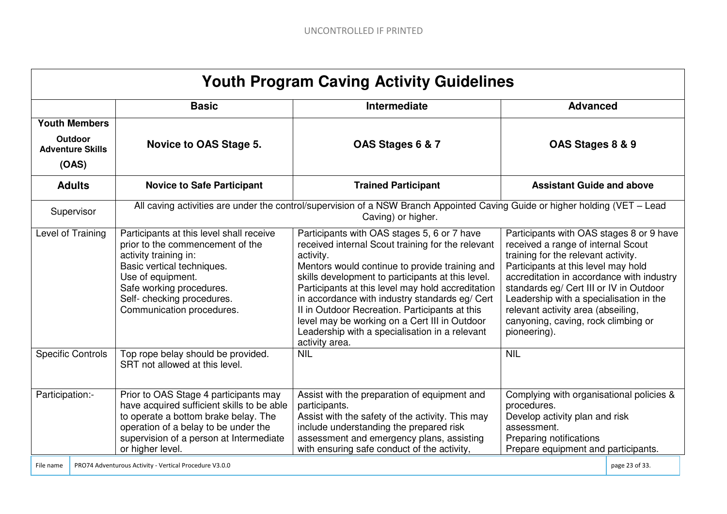| <b>Youth Program Caving Activity Guidelines</b>                                       |                                                                                                                                                                                                                                                 |                                                                                                                                                                                                                                                                                                                                                                                                                                                                                                    |                                                                                                                                                                                                                                                                                                                                                                                              |  |
|---------------------------------------------------------------------------------------|-------------------------------------------------------------------------------------------------------------------------------------------------------------------------------------------------------------------------------------------------|----------------------------------------------------------------------------------------------------------------------------------------------------------------------------------------------------------------------------------------------------------------------------------------------------------------------------------------------------------------------------------------------------------------------------------------------------------------------------------------------------|----------------------------------------------------------------------------------------------------------------------------------------------------------------------------------------------------------------------------------------------------------------------------------------------------------------------------------------------------------------------------------------------|--|
|                                                                                       | <b>Basic</b>                                                                                                                                                                                                                                    | <b>Intermediate</b>                                                                                                                                                                                                                                                                                                                                                                                                                                                                                | <b>Advanced</b>                                                                                                                                                                                                                                                                                                                                                                              |  |
| <b>Youth Members</b>                                                                  |                                                                                                                                                                                                                                                 |                                                                                                                                                                                                                                                                                                                                                                                                                                                                                                    |                                                                                                                                                                                                                                                                                                                                                                                              |  |
| Outdoor<br><b>Adventure Skills</b>                                                    | <b>Novice to OAS Stage 5.</b>                                                                                                                                                                                                                   | OAS Stages 6 & 7                                                                                                                                                                                                                                                                                                                                                                                                                                                                                   | OAS Stages 8 & 9                                                                                                                                                                                                                                                                                                                                                                             |  |
| (OAS)                                                                                 |                                                                                                                                                                                                                                                 |                                                                                                                                                                                                                                                                                                                                                                                                                                                                                                    |                                                                                                                                                                                                                                                                                                                                                                                              |  |
| <b>Adults</b>                                                                         | <b>Novice to Safe Participant</b>                                                                                                                                                                                                               | <b>Trained Participant</b>                                                                                                                                                                                                                                                                                                                                                                                                                                                                         | <b>Assistant Guide and above</b>                                                                                                                                                                                                                                                                                                                                                             |  |
| Supervisor                                                                            |                                                                                                                                                                                                                                                 | All caving activities are under the control/supervision of a NSW Branch Appointed Caving Guide or higher holding (VET – Lead<br>Caving) or higher.                                                                                                                                                                                                                                                                                                                                                 |                                                                                                                                                                                                                                                                                                                                                                                              |  |
| Level of Training                                                                     | Participants at this level shall receive<br>prior to the commencement of the<br>activity training in:<br>Basic vertical techniques.<br>Use of equipment.<br>Safe working procedures.<br>Self- checking procedures.<br>Communication procedures. | Participants with OAS stages 5, 6 or 7 have<br>received internal Scout training for the relevant<br>activity.<br>Mentors would continue to provide training and<br>skills development to participants at this level.<br>Participants at this level may hold accreditation<br>in accordance with industry standards eg/ Cert<br>II in Outdoor Recreation. Participants at this<br>level may be working on a Cert III in Outdoor<br>Leadership with a specialisation in a relevant<br>activity area. | Participants with OAS stages 8 or 9 have<br>received a range of internal Scout<br>training for the relevant activity.<br>Participants at this level may hold<br>accreditation in accordance with industry<br>standards eg/ Cert III or IV in Outdoor<br>Leadership with a specialisation in the<br>relevant activity area (abseiling,<br>canyoning, caving, rock climbing or<br>pioneering). |  |
| <b>Specific Controls</b>                                                              | Top rope belay should be provided.<br>SRT not allowed at this level.                                                                                                                                                                            | <b>NIL</b>                                                                                                                                                                                                                                                                                                                                                                                                                                                                                         | <b>NIL</b>                                                                                                                                                                                                                                                                                                                                                                                   |  |
| Participation:-                                                                       | Prior to OAS Stage 4 participants may<br>have acquired sufficient skills to be able<br>to operate a bottom brake belay. The<br>operation of a belay to be under the<br>supervision of a person at Intermediate<br>or higher level.              | Assist with the preparation of equipment and<br>participants.<br>Assist with the safety of the activity. This may<br>include understanding the prepared risk<br>assessment and emergency plans, assisting<br>with ensuring safe conduct of the activity,                                                                                                                                                                                                                                           | Complying with organisational policies &<br>procedures.<br>Develop activity plan and risk<br>assessment.<br>Preparing notifications<br>Prepare equipment and participants.                                                                                                                                                                                                                   |  |
| PRO74 Adventurous Activity - Vertical Procedure V3.0.0<br>page 23 of 33.<br>File name |                                                                                                                                                                                                                                                 |                                                                                                                                                                                                                                                                                                                                                                                                                                                                                                    |                                                                                                                                                                                                                                                                                                                                                                                              |  |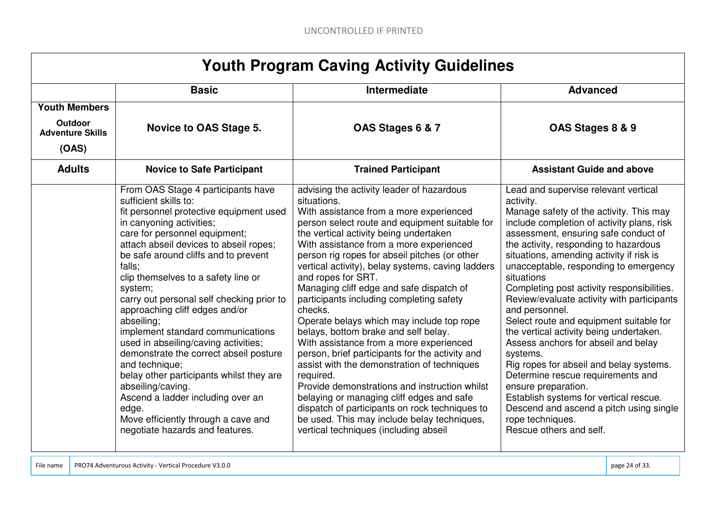| <b>Youth Program Caving Activity Guidelines</b> |                                                                                                                                                                                                                                                                                                                                                                                                                                                                                                                                                                                                                                                                                                                                                  |                                                                                                                                                                                                                                                                                                                                                                                                                                                                                                                                                                                                                                                                                                                                                                                                                                                                                                                                                                  |                                                                                                                                                                                                                                                                                                                                                                                                                                                                                                                                                                                                                                                                                                                                                                                                                                  |
|-------------------------------------------------|--------------------------------------------------------------------------------------------------------------------------------------------------------------------------------------------------------------------------------------------------------------------------------------------------------------------------------------------------------------------------------------------------------------------------------------------------------------------------------------------------------------------------------------------------------------------------------------------------------------------------------------------------------------------------------------------------------------------------------------------------|------------------------------------------------------------------------------------------------------------------------------------------------------------------------------------------------------------------------------------------------------------------------------------------------------------------------------------------------------------------------------------------------------------------------------------------------------------------------------------------------------------------------------------------------------------------------------------------------------------------------------------------------------------------------------------------------------------------------------------------------------------------------------------------------------------------------------------------------------------------------------------------------------------------------------------------------------------------|----------------------------------------------------------------------------------------------------------------------------------------------------------------------------------------------------------------------------------------------------------------------------------------------------------------------------------------------------------------------------------------------------------------------------------------------------------------------------------------------------------------------------------------------------------------------------------------------------------------------------------------------------------------------------------------------------------------------------------------------------------------------------------------------------------------------------------|
|                                                 | <b>Basic</b>                                                                                                                                                                                                                                                                                                                                                                                                                                                                                                                                                                                                                                                                                                                                     | Intermediate                                                                                                                                                                                                                                                                                                                                                                                                                                                                                                                                                                                                                                                                                                                                                                                                                                                                                                                                                     | <b>Advanced</b>                                                                                                                                                                                                                                                                                                                                                                                                                                                                                                                                                                                                                                                                                                                                                                                                                  |
| <b>Youth Members</b>                            |                                                                                                                                                                                                                                                                                                                                                                                                                                                                                                                                                                                                                                                                                                                                                  |                                                                                                                                                                                                                                                                                                                                                                                                                                                                                                                                                                                                                                                                                                                                                                                                                                                                                                                                                                  |                                                                                                                                                                                                                                                                                                                                                                                                                                                                                                                                                                                                                                                                                                                                                                                                                                  |
| Outdoor<br><b>Adventure Skills</b>              | <b>Novice to OAS Stage 5.</b>                                                                                                                                                                                                                                                                                                                                                                                                                                                                                                                                                                                                                                                                                                                    | OAS Stages 6 & 7                                                                                                                                                                                                                                                                                                                                                                                                                                                                                                                                                                                                                                                                                                                                                                                                                                                                                                                                                 | OAS Stages 8 & 9                                                                                                                                                                                                                                                                                                                                                                                                                                                                                                                                                                                                                                                                                                                                                                                                                 |
| (OAS)                                           |                                                                                                                                                                                                                                                                                                                                                                                                                                                                                                                                                                                                                                                                                                                                                  |                                                                                                                                                                                                                                                                                                                                                                                                                                                                                                                                                                                                                                                                                                                                                                                                                                                                                                                                                                  |                                                                                                                                                                                                                                                                                                                                                                                                                                                                                                                                                                                                                                                                                                                                                                                                                                  |
| <b>Adults</b>                                   | <b>Novice to Safe Participant</b>                                                                                                                                                                                                                                                                                                                                                                                                                                                                                                                                                                                                                                                                                                                | <b>Trained Participant</b>                                                                                                                                                                                                                                                                                                                                                                                                                                                                                                                                                                                                                                                                                                                                                                                                                                                                                                                                       | <b>Assistant Guide and above</b>                                                                                                                                                                                                                                                                                                                                                                                                                                                                                                                                                                                                                                                                                                                                                                                                 |
|                                                 | From OAS Stage 4 participants have<br>sufficient skills to:<br>fit personnel protective equipment used<br>in canyoning activities;<br>care for personnel equipment;<br>attach abseil devices to abseil ropes;<br>be safe around cliffs and to prevent<br>falls:<br>clip themselves to a safety line or<br>system;<br>carry out personal self checking prior to<br>approaching cliff edges and/or<br>abseiling:<br>implement standard communications<br>used in abseiling/caving activities;<br>demonstrate the correct abseil posture<br>and technique;<br>belay other participants whilst they are<br>abseiling/caving.<br>Ascend a ladder including over an<br>edge.<br>Move efficiently through a cave and<br>negotiate hazards and features. | advising the activity leader of hazardous<br>situations.<br>With assistance from a more experienced<br>person select route and equipment suitable for<br>the vertical activity being undertaken<br>With assistance from a more experienced<br>person rig ropes for abseil pitches (or other<br>vertical activity), belay systems, caving ladders<br>and ropes for SRT.<br>Managing cliff edge and safe dispatch of<br>participants including completing safety<br>checks.<br>Operate belays which may include top rope<br>belays, bottom brake and self belay.<br>With assistance from a more experienced<br>person, brief participants for the activity and<br>assist with the demonstration of techniques<br>required.<br>Provide demonstrations and instruction whilst<br>belaying or managing cliff edges and safe<br>dispatch of participants on rock techniques to<br>be used. This may include belay techniques,<br>vertical techniques (including abseil | Lead and supervise relevant vertical<br>activity.<br>Manage safety of the activity. This may<br>include completion of activity plans, risk<br>assessment, ensuring safe conduct of<br>the activity, responding to hazardous<br>situations, amending activity if risk is<br>unacceptable, responding to emergency<br>situations<br>Completing post activity responsibilities.<br>Review/evaluate activity with participants<br>and personnel.<br>Select route and equipment suitable for<br>the vertical activity being undertaken.<br>Assess anchors for abseil and belay<br>systems.<br>Rig ropes for abseil and belay systems.<br>Determine rescue requirements and<br>ensure preparation.<br>Establish systems for vertical rescue.<br>Descend and ascend a pitch using single<br>rope techniques.<br>Rescue others and self. |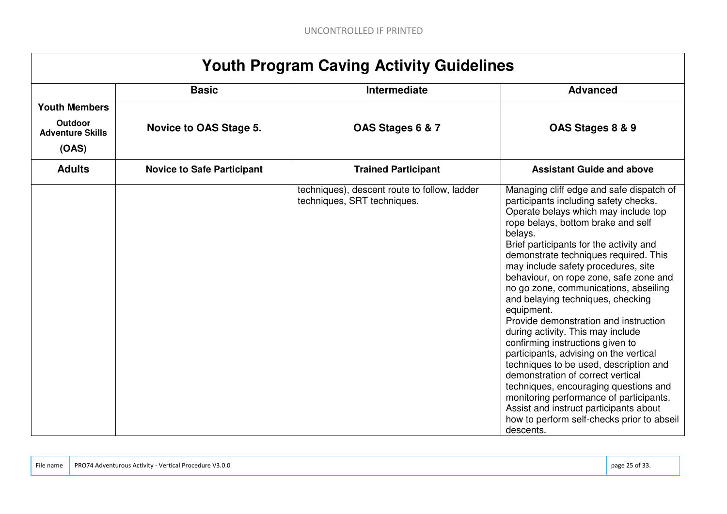| <b>Youth Program Caving Activity Guidelines</b> |                                   |                                                                             |                                                                                                                                                                                                                                                                                                                                                                                                                                                                                                                                                                                                                                                                                                                                                                                                                                                                                 |
|-------------------------------------------------|-----------------------------------|-----------------------------------------------------------------------------|---------------------------------------------------------------------------------------------------------------------------------------------------------------------------------------------------------------------------------------------------------------------------------------------------------------------------------------------------------------------------------------------------------------------------------------------------------------------------------------------------------------------------------------------------------------------------------------------------------------------------------------------------------------------------------------------------------------------------------------------------------------------------------------------------------------------------------------------------------------------------------|
|                                                 | <b>Basic</b>                      | <b>Intermediate</b>                                                         | <b>Advanced</b>                                                                                                                                                                                                                                                                                                                                                                                                                                                                                                                                                                                                                                                                                                                                                                                                                                                                 |
| <b>Youth Members</b>                            |                                   |                                                                             |                                                                                                                                                                                                                                                                                                                                                                                                                                                                                                                                                                                                                                                                                                                                                                                                                                                                                 |
| Outdoor<br><b>Adventure Skills</b>              | Novice to OAS Stage 5.            | OAS Stages 6 & 7                                                            | OAS Stages 8 & 9                                                                                                                                                                                                                                                                                                                                                                                                                                                                                                                                                                                                                                                                                                                                                                                                                                                                |
| (OAS)                                           |                                   |                                                                             |                                                                                                                                                                                                                                                                                                                                                                                                                                                                                                                                                                                                                                                                                                                                                                                                                                                                                 |
| <b>Adults</b>                                   | <b>Novice to Safe Participant</b> | <b>Trained Participant</b>                                                  | <b>Assistant Guide and above</b>                                                                                                                                                                                                                                                                                                                                                                                                                                                                                                                                                                                                                                                                                                                                                                                                                                                |
|                                                 |                                   | techniques), descent route to follow, ladder<br>techniques, SRT techniques. | Managing cliff edge and safe dispatch of<br>participants including safety checks.<br>Operate belays which may include top<br>rope belays, bottom brake and self<br>belays.<br>Brief participants for the activity and<br>demonstrate techniques required. This<br>may include safety procedures, site<br>behaviour, on rope zone, safe zone and<br>no go zone, communications, abseiling<br>and belaying techniques, checking<br>equipment.<br>Provide demonstration and instruction<br>during activity. This may include<br>confirming instructions given to<br>participants, advising on the vertical<br>techniques to be used, description and<br>demonstration of correct vertical<br>techniques, encouraging questions and<br>monitoring performance of participants.<br>Assist and instruct participants about<br>how to perform self-checks prior to abseil<br>descents. |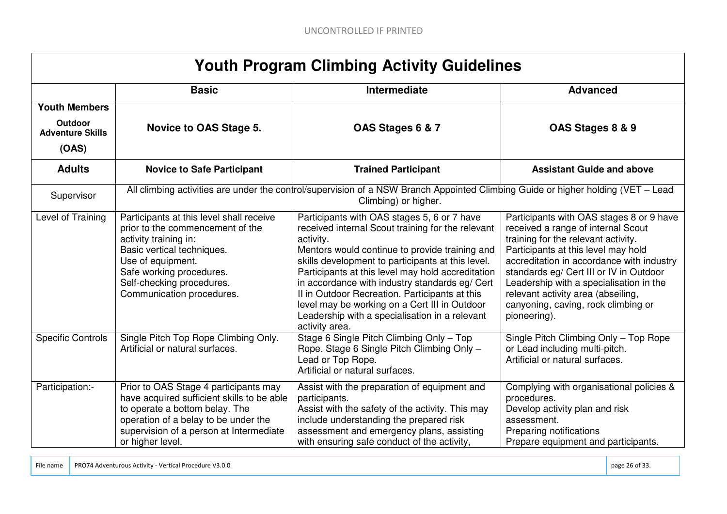| <b>Youth Program Climbing Activity Guidelines</b> |                                                                                                                                                                                                                                                |                                                                                                                                                                                                                                                                                                                                                                                                                                                                                                    |                                                                                                                                                                                                                                                                                                                                                                                              |  |
|---------------------------------------------------|------------------------------------------------------------------------------------------------------------------------------------------------------------------------------------------------------------------------------------------------|----------------------------------------------------------------------------------------------------------------------------------------------------------------------------------------------------------------------------------------------------------------------------------------------------------------------------------------------------------------------------------------------------------------------------------------------------------------------------------------------------|----------------------------------------------------------------------------------------------------------------------------------------------------------------------------------------------------------------------------------------------------------------------------------------------------------------------------------------------------------------------------------------------|--|
|                                                   | <b>Basic</b>                                                                                                                                                                                                                                   | <b>Intermediate</b>                                                                                                                                                                                                                                                                                                                                                                                                                                                                                | <b>Advanced</b>                                                                                                                                                                                                                                                                                                                                                                              |  |
| <b>Youth Members</b>                              |                                                                                                                                                                                                                                                |                                                                                                                                                                                                                                                                                                                                                                                                                                                                                                    |                                                                                                                                                                                                                                                                                                                                                                                              |  |
| <b>Outdoor</b><br><b>Adventure Skills</b>         | Novice to OAS Stage 5.                                                                                                                                                                                                                         | OAS Stages 6 & 7                                                                                                                                                                                                                                                                                                                                                                                                                                                                                   | OAS Stages 8 & 9                                                                                                                                                                                                                                                                                                                                                                             |  |
| (OAS)                                             |                                                                                                                                                                                                                                                |                                                                                                                                                                                                                                                                                                                                                                                                                                                                                                    |                                                                                                                                                                                                                                                                                                                                                                                              |  |
| <b>Adults</b>                                     | <b>Novice to Safe Participant</b>                                                                                                                                                                                                              | <b>Trained Participant</b>                                                                                                                                                                                                                                                                                                                                                                                                                                                                         | <b>Assistant Guide and above</b>                                                                                                                                                                                                                                                                                                                                                             |  |
| Supervisor                                        | All climbing activities are under the control/supervision of a NSW Branch Appointed Climbing Guide or higher holding (VET - Lead<br>Climbing) or higher.                                                                                       |                                                                                                                                                                                                                                                                                                                                                                                                                                                                                                    |                                                                                                                                                                                                                                                                                                                                                                                              |  |
| Level of Training                                 | Participants at this level shall receive<br>prior to the commencement of the<br>activity training in:<br>Basic vertical techniques.<br>Use of equipment.<br>Safe working procedures.<br>Self-checking procedures.<br>Communication procedures. | Participants with OAS stages 5, 6 or 7 have<br>received internal Scout training for the relevant<br>activity.<br>Mentors would continue to provide training and<br>skills development to participants at this level.<br>Participants at this level may hold accreditation<br>in accordance with industry standards eg/ Cert<br>II in Outdoor Recreation. Participants at this<br>level may be working on a Cert III in Outdoor<br>Leadership with a specialisation in a relevant<br>activity area. | Participants with OAS stages 8 or 9 have<br>received a range of internal Scout<br>training for the relevant activity.<br>Participants at this level may hold<br>accreditation in accordance with industry<br>standards eg/ Cert III or IV in Outdoor<br>Leadership with a specialisation in the<br>relevant activity area (abseiling,<br>canyoning, caving, rock climbing or<br>pioneering). |  |
| <b>Specific Controls</b>                          | Single Pitch Top Rope Climbing Only.<br>Artificial or natural surfaces.                                                                                                                                                                        | Stage 6 Single Pitch Climbing Only - Top<br>Rope. Stage 6 Single Pitch Climbing Only -<br>Lead or Top Rope.<br>Artificial or natural surfaces.                                                                                                                                                                                                                                                                                                                                                     | Single Pitch Climbing Only - Top Rope<br>or Lead including multi-pitch.<br>Artificial or natural surfaces.                                                                                                                                                                                                                                                                                   |  |
| Participation:-                                   | Prior to OAS Stage 4 participants may<br>have acquired sufficient skills to be able<br>to operate a bottom belay. The<br>operation of a belay to be under the<br>supervision of a person at Intermediate<br>or higher level.                   | Assist with the preparation of equipment and<br>participants.<br>Assist with the safety of the activity. This may<br>include understanding the prepared risk<br>assessment and emergency plans, assisting<br>with ensuring safe conduct of the activity,                                                                                                                                                                                                                                           | Complying with organisational policies &<br>procedures.<br>Develop activity plan and risk<br>assessment.<br>Preparing notifications<br>Prepare equipment and participants.                                                                                                                                                                                                                   |  |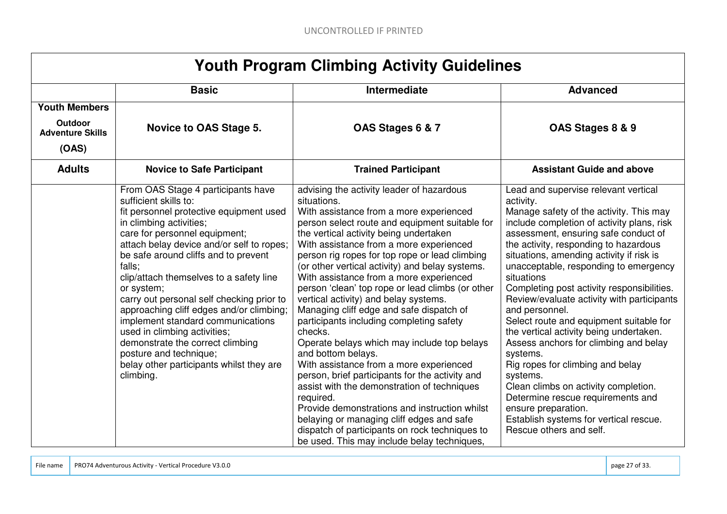| <b>Youth Program Climbing Activity Guidelines</b> |                                                                                                                                                                                                                                                                                                                                                                                                                                                                                                                                                                                                                 |                                                                                                                                                                                                                                                                                                                                                                                                                                                                                                                                                                                                                                                                                                                                                                                                                                                                                                                                                                                                                          |                                                                                                                                                                                                                                                                                                                                                                                                                                                                                                                                                                                                                                                                                                                                                                                                                  |
|---------------------------------------------------|-----------------------------------------------------------------------------------------------------------------------------------------------------------------------------------------------------------------------------------------------------------------------------------------------------------------------------------------------------------------------------------------------------------------------------------------------------------------------------------------------------------------------------------------------------------------------------------------------------------------|--------------------------------------------------------------------------------------------------------------------------------------------------------------------------------------------------------------------------------------------------------------------------------------------------------------------------------------------------------------------------------------------------------------------------------------------------------------------------------------------------------------------------------------------------------------------------------------------------------------------------------------------------------------------------------------------------------------------------------------------------------------------------------------------------------------------------------------------------------------------------------------------------------------------------------------------------------------------------------------------------------------------------|------------------------------------------------------------------------------------------------------------------------------------------------------------------------------------------------------------------------------------------------------------------------------------------------------------------------------------------------------------------------------------------------------------------------------------------------------------------------------------------------------------------------------------------------------------------------------------------------------------------------------------------------------------------------------------------------------------------------------------------------------------------------------------------------------------------|
|                                                   | <b>Basic</b>                                                                                                                                                                                                                                                                                                                                                                                                                                                                                                                                                                                                    | <b>Intermediate</b>                                                                                                                                                                                                                                                                                                                                                                                                                                                                                                                                                                                                                                                                                                                                                                                                                                                                                                                                                                                                      | <b>Advanced</b>                                                                                                                                                                                                                                                                                                                                                                                                                                                                                                                                                                                                                                                                                                                                                                                                  |
| <b>Youth Members</b>                              |                                                                                                                                                                                                                                                                                                                                                                                                                                                                                                                                                                                                                 |                                                                                                                                                                                                                                                                                                                                                                                                                                                                                                                                                                                                                                                                                                                                                                                                                                                                                                                                                                                                                          |                                                                                                                                                                                                                                                                                                                                                                                                                                                                                                                                                                                                                                                                                                                                                                                                                  |
| Outdoor<br><b>Adventure Skills</b>                | <b>Novice to OAS Stage 5.</b>                                                                                                                                                                                                                                                                                                                                                                                                                                                                                                                                                                                   | OAS Stages 6 & 7                                                                                                                                                                                                                                                                                                                                                                                                                                                                                                                                                                                                                                                                                                                                                                                                                                                                                                                                                                                                         | OAS Stages 8 & 9                                                                                                                                                                                                                                                                                                                                                                                                                                                                                                                                                                                                                                                                                                                                                                                                 |
| (OAS)                                             |                                                                                                                                                                                                                                                                                                                                                                                                                                                                                                                                                                                                                 |                                                                                                                                                                                                                                                                                                                                                                                                                                                                                                                                                                                                                                                                                                                                                                                                                                                                                                                                                                                                                          |                                                                                                                                                                                                                                                                                                                                                                                                                                                                                                                                                                                                                                                                                                                                                                                                                  |
| <b>Adults</b>                                     | <b>Novice to Safe Participant</b>                                                                                                                                                                                                                                                                                                                                                                                                                                                                                                                                                                               | <b>Trained Participant</b>                                                                                                                                                                                                                                                                                                                                                                                                                                                                                                                                                                                                                                                                                                                                                                                                                                                                                                                                                                                               | <b>Assistant Guide and above</b>                                                                                                                                                                                                                                                                                                                                                                                                                                                                                                                                                                                                                                                                                                                                                                                 |
|                                                   | From OAS Stage 4 participants have<br>sufficient skills to:<br>fit personnel protective equipment used<br>in climbing activities;<br>care for personnel equipment;<br>attach belay device and/or self to ropes;<br>be safe around cliffs and to prevent<br>falls:<br>clip/attach themselves to a safety line<br>or system;<br>carry out personal self checking prior to<br>approaching cliff edges and/or climbing;<br>implement standard communications<br>used in climbing activities;<br>demonstrate the correct climbing<br>posture and technique;<br>belay other participants whilst they are<br>climbing. | advising the activity leader of hazardous<br>situations.<br>With assistance from a more experienced<br>person select route and equipment suitable for<br>the vertical activity being undertaken<br>With assistance from a more experienced<br>person rig ropes for top rope or lead climbing<br>(or other vertical activity) and belay systems.<br>With assistance from a more experienced<br>person 'clean' top rope or lead climbs (or other<br>vertical activity) and belay systems.<br>Managing cliff edge and safe dispatch of<br>participants including completing safety<br>checks.<br>Operate belays which may include top belays<br>and bottom belays.<br>With assistance from a more experienced<br>person, brief participants for the activity and<br>assist with the demonstration of techniques<br>required.<br>Provide demonstrations and instruction whilst<br>belaying or managing cliff edges and safe<br>dispatch of participants on rock techniques to<br>be used. This may include belay techniques, | Lead and supervise relevant vertical<br>activity.<br>Manage safety of the activity. This may<br>include completion of activity plans, risk<br>assessment, ensuring safe conduct of<br>the activity, responding to hazardous<br>situations, amending activity if risk is<br>unacceptable, responding to emergency<br>situations<br>Completing post activity responsibilities.<br>Review/evaluate activity with participants<br>and personnel.<br>Select route and equipment suitable for<br>the vertical activity being undertaken.<br>Assess anchors for climbing and belay<br>systems.<br>Rig ropes for climbing and belay<br>systems.<br>Clean climbs on activity completion.<br>Determine rescue requirements and<br>ensure preparation.<br>Establish systems for vertical rescue.<br>Rescue others and self. |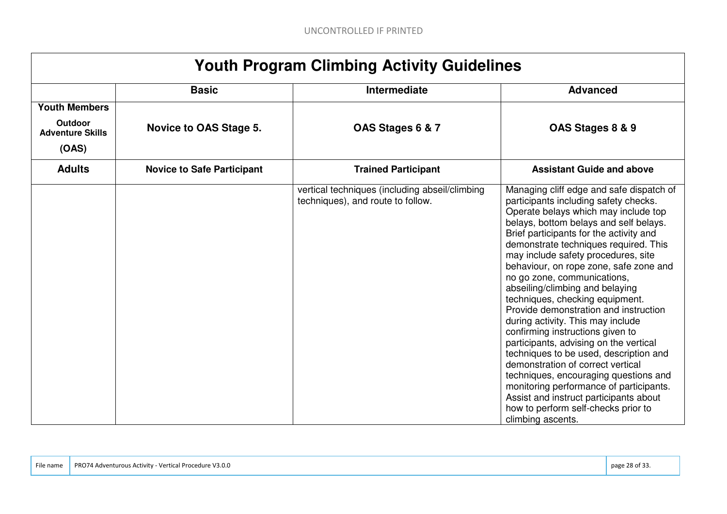| <b>Youth Program Climbing Activity Guidelines</b> |                                   |                                                                                     |                                                                                                                                                                                                                                                                                                                                                                                                                                                                                                                                                                                                                                                                                                                                                                                                                                                                                    |
|---------------------------------------------------|-----------------------------------|-------------------------------------------------------------------------------------|------------------------------------------------------------------------------------------------------------------------------------------------------------------------------------------------------------------------------------------------------------------------------------------------------------------------------------------------------------------------------------------------------------------------------------------------------------------------------------------------------------------------------------------------------------------------------------------------------------------------------------------------------------------------------------------------------------------------------------------------------------------------------------------------------------------------------------------------------------------------------------|
|                                                   | <b>Basic</b>                      | <b>Intermediate</b>                                                                 | <b>Advanced</b>                                                                                                                                                                                                                                                                                                                                                                                                                                                                                                                                                                                                                                                                                                                                                                                                                                                                    |
| <b>Youth Members</b>                              |                                   |                                                                                     |                                                                                                                                                                                                                                                                                                                                                                                                                                                                                                                                                                                                                                                                                                                                                                                                                                                                                    |
| <b>Outdoor</b><br><b>Adventure Skills</b>         | Novice to OAS Stage 5.            | OAS Stages 6 & 7                                                                    | OAS Stages 8 & 9                                                                                                                                                                                                                                                                                                                                                                                                                                                                                                                                                                                                                                                                                                                                                                                                                                                                   |
| (OAS)                                             |                                   |                                                                                     |                                                                                                                                                                                                                                                                                                                                                                                                                                                                                                                                                                                                                                                                                                                                                                                                                                                                                    |
| <b>Adults</b>                                     | <b>Novice to Safe Participant</b> | <b>Trained Participant</b>                                                          | <b>Assistant Guide and above</b>                                                                                                                                                                                                                                                                                                                                                                                                                                                                                                                                                                                                                                                                                                                                                                                                                                                   |
|                                                   |                                   | vertical techniques (including abseil/climbing<br>techniques), and route to follow. | Managing cliff edge and safe dispatch of<br>participants including safety checks.<br>Operate belays which may include top<br>belays, bottom belays and self belays.<br>Brief participants for the activity and<br>demonstrate techniques required. This<br>may include safety procedures, site<br>behaviour, on rope zone, safe zone and<br>no go zone, communications,<br>abseiling/climbing and belaying<br>techniques, checking equipment.<br>Provide demonstration and instruction<br>during activity. This may include<br>confirming instructions given to<br>participants, advising on the vertical<br>techniques to be used, description and<br>demonstration of correct vertical<br>techniques, encouraging questions and<br>monitoring performance of participants.<br>Assist and instruct participants about<br>how to perform self-checks prior to<br>climbing ascents. |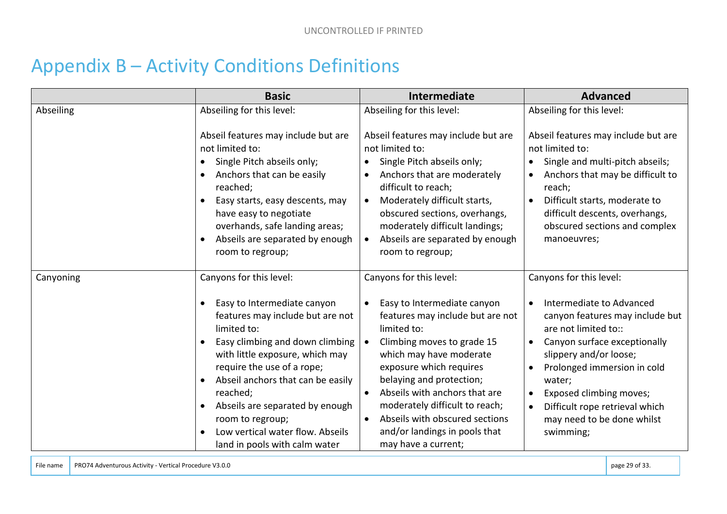## Appendix B – Activity Conditions Definitions

|           | <b>Basic</b>                                                                                                                                                                                                                                                                                                                                                                                                                                                | <b>Intermediate</b>                                                                                                                                                                                                                                                                                                                                                                                                                        | <b>Advanced</b>                                                                                                                                                                                                                                                                                                                                     |
|-----------|-------------------------------------------------------------------------------------------------------------------------------------------------------------------------------------------------------------------------------------------------------------------------------------------------------------------------------------------------------------------------------------------------------------------------------------------------------------|--------------------------------------------------------------------------------------------------------------------------------------------------------------------------------------------------------------------------------------------------------------------------------------------------------------------------------------------------------------------------------------------------------------------------------------------|-----------------------------------------------------------------------------------------------------------------------------------------------------------------------------------------------------------------------------------------------------------------------------------------------------------------------------------------------------|
| Abseiling | Abseiling for this level:                                                                                                                                                                                                                                                                                                                                                                                                                                   | Abseiling for this level:                                                                                                                                                                                                                                                                                                                                                                                                                  | Abseiling for this level:                                                                                                                                                                                                                                                                                                                           |
|           | Abseil features may include but are<br>not limited to:<br>Single Pitch abseils only;<br>$\bullet$<br>Anchors that can be easily<br>$\bullet$<br>reached;<br>Easy starts, easy descents, may<br>$\bullet$<br>have easy to negotiate<br>overhands, safe landing areas;<br>Abseils are separated by enough<br>$\bullet$<br>room to regroup;                                                                                                                    | Abseil features may include but are<br>not limited to:<br>Single Pitch abseils only;<br>$\bullet$<br>Anchors that are moderately<br>$\bullet$<br>difficult to reach;<br>Moderately difficult starts,<br>$\bullet$<br>obscured sections, overhangs,<br>moderately difficult landings;<br>Abseils are separated by enough<br>$\bullet$<br>room to regroup;                                                                                   | Abseil features may include but are<br>not limited to:<br>Single and multi-pitch abseils;<br>Anchors that may be difficult to<br>reach;<br>Difficult starts, moderate to<br>$\bullet$<br>difficult descents, overhangs,<br>obscured sections and complex<br>manoeuvres;                                                                             |
| Canyoning | Canyons for this level:<br>Easy to Intermediate canyon<br>$\bullet$<br>features may include but are not<br>limited to:<br>Easy climbing and down climbing<br>$\bullet$<br>with little exposure, which may<br>require the use of a rope;<br>Abseil anchors that can be easily<br>$\bullet$<br>reached;<br>Abseils are separated by enough<br>$\bullet$<br>room to regroup;<br>Low vertical water flow. Abseils<br>$\bullet$<br>land in pools with calm water | Canyons for this level:<br>Easy to Intermediate canyon<br>$\bullet$<br>features may include but are not<br>limited to:<br>Climbing moves to grade 15<br>$\bullet$<br>which may have moderate<br>exposure which requires<br>belaying and protection;<br>Abseils with anchors that are<br>$\bullet$<br>moderately difficult to reach;<br>Abseils with obscured sections<br>$\bullet$<br>and/or landings in pools that<br>may have a current; | Canyons for this level:<br>Intermediate to Advanced<br>$\bullet$<br>canyon features may include but<br>are not limited to::<br>Canyon surface exceptionally<br>slippery and/or loose;<br>Prolonged immersion in cold<br>water;<br>Exposed climbing moves;<br>$\bullet$<br>Difficult rope retrieval which<br>may need to be done whilst<br>swimming; |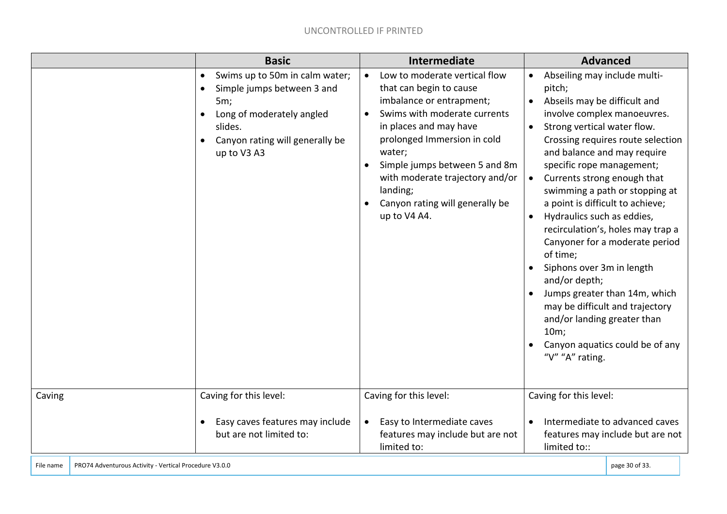#### UNCONTROLLED IF PRINTED

|                                                                     | <b>Basic</b>                                                                                                                                                                            | Intermediate                                                                                                                                                                                                                                                                                                                                         | <b>Advanced</b>                                                                                                                                                                                                                                                                                                                                                                                                                                                                                                                                                                                                                                                                                                   |
|---------------------------------------------------------------------|-----------------------------------------------------------------------------------------------------------------------------------------------------------------------------------------|------------------------------------------------------------------------------------------------------------------------------------------------------------------------------------------------------------------------------------------------------------------------------------------------------------------------------------------------------|-------------------------------------------------------------------------------------------------------------------------------------------------------------------------------------------------------------------------------------------------------------------------------------------------------------------------------------------------------------------------------------------------------------------------------------------------------------------------------------------------------------------------------------------------------------------------------------------------------------------------------------------------------------------------------------------------------------------|
|                                                                     | Swims up to 50m in calm water;<br>$\bullet$<br>Simple jumps between 3 and<br>$\bullet$<br>5m;<br>Long of moderately angled<br>slides.<br>Canyon rating will generally be<br>up to V3 A3 | Low to moderate vertical flow<br>$\bullet$<br>that can begin to cause<br>imbalance or entrapment;<br>Swims with moderate currents<br>$\bullet$<br>in places and may have<br>prolonged Immersion in cold<br>water;<br>Simple jumps between 5 and 8m<br>with moderate trajectory and/or<br>landing;<br>Canyon rating will generally be<br>up to V4 A4. | Abseiling may include multi-<br>pitch;<br>Abseils may be difficult and<br>involve complex manoeuvres.<br>Strong vertical water flow.<br>$\bullet$<br>Crossing requires route selection<br>and balance and may require<br>specific rope management;<br>Currents strong enough that<br>$\bullet$<br>swimming a path or stopping at<br>a point is difficult to achieve;<br>Hydraulics such as eddies,<br>$\bullet$<br>recirculation's, holes may trap a<br>Canyoner for a moderate period<br>of time;<br>Siphons over 3m in length<br>and/or depth;<br>Jumps greater than 14m, which<br>may be difficult and trajectory<br>and/or landing greater than<br>10m;<br>Canyon aquatics could be of any<br>"V" "A" rating. |
| Caving                                                              | Caving for this level:                                                                                                                                                                  | Caving for this level:                                                                                                                                                                                                                                                                                                                               | Caving for this level:                                                                                                                                                                                                                                                                                                                                                                                                                                                                                                                                                                                                                                                                                            |
|                                                                     | Easy caves features may include<br>but are not limited to:                                                                                                                              | Easy to Intermediate caves<br>$\bullet$<br>features may include but are not<br>limited to:                                                                                                                                                                                                                                                           | Intermediate to advanced caves<br>features may include but are not<br>limited to::                                                                                                                                                                                                                                                                                                                                                                                                                                                                                                                                                                                                                                |
| PRO74 Adventurous Activity - Vertical Procedure V3.0.0<br>File name |                                                                                                                                                                                         |                                                                                                                                                                                                                                                                                                                                                      | page 30 of 33.                                                                                                                                                                                                                                                                                                                                                                                                                                                                                                                                                                                                                                                                                                    |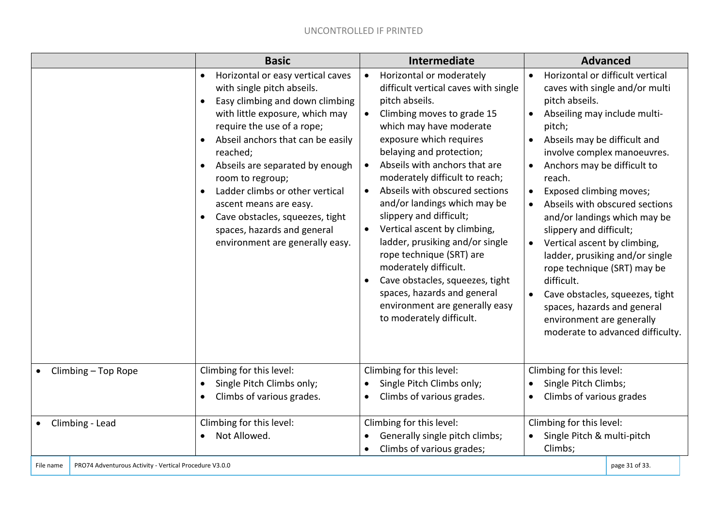#### UNCONTROLLED IF PRINTED

|                                                                     | <b>Basic</b>                                                                                                                                                                                                                                                                                                                                                                                                                                                                                                                | Intermediate                                                                                                                                                                                                                                                                                                                                                                                                                                                                                                                                                                                                                                                                                             | <b>Advanced</b>                                                                                                                                                                                                                                                                                                                                                                                                                                                                                                                                                                                                                             |
|---------------------------------------------------------------------|-----------------------------------------------------------------------------------------------------------------------------------------------------------------------------------------------------------------------------------------------------------------------------------------------------------------------------------------------------------------------------------------------------------------------------------------------------------------------------------------------------------------------------|----------------------------------------------------------------------------------------------------------------------------------------------------------------------------------------------------------------------------------------------------------------------------------------------------------------------------------------------------------------------------------------------------------------------------------------------------------------------------------------------------------------------------------------------------------------------------------------------------------------------------------------------------------------------------------------------------------|---------------------------------------------------------------------------------------------------------------------------------------------------------------------------------------------------------------------------------------------------------------------------------------------------------------------------------------------------------------------------------------------------------------------------------------------------------------------------------------------------------------------------------------------------------------------------------------------------------------------------------------------|
|                                                                     | Horizontal or easy vertical caves<br>$\bullet$<br>with single pitch abseils.<br>Easy climbing and down climbing<br>$\bullet$<br>with little exposure, which may<br>require the use of a rope;<br>Abseil anchors that can be easily<br>$\bullet$<br>reached;<br>Abseils are separated by enough<br>$\bullet$<br>room to regroup;<br>Ladder climbs or other vertical<br>$\bullet$<br>ascent means are easy.<br>Cave obstacles, squeezes, tight<br>$\bullet$<br>spaces, hazards and general<br>environment are generally easy. | Horizontal or moderately<br>$\bullet$<br>difficult vertical caves with single<br>pitch abseils.<br>Climbing moves to grade 15<br>$\bullet$<br>which may have moderate<br>exposure which requires<br>belaying and protection;<br>Abseils with anchors that are<br>$\bullet$<br>moderately difficult to reach;<br>Abseils with obscured sections<br>$\bullet$<br>and/or landings which may be<br>slippery and difficult;<br>Vertical ascent by climbing,<br>$\bullet$<br>ladder, prusiking and/or single<br>rope technique (SRT) are<br>moderately difficult.<br>Cave obstacles, squeezes, tight<br>$\bullet$<br>spaces, hazards and general<br>environment are generally easy<br>to moderately difficult. | Horizontal or difficult vertical<br>$\bullet$<br>caves with single and/or multi<br>pitch abseils.<br>Abseiling may include multi-<br>pitch;<br>Abseils may be difficult and<br>$\bullet$<br>involve complex manoeuvres.<br>Anchors may be difficult to<br>reach.<br>Exposed climbing moves;<br>Abseils with obscured sections<br>and/or landings which may be<br>slippery and difficult;<br>Vertical ascent by climbing,<br>ladder, prusiking and/or single<br>rope technique (SRT) may be<br>difficult.<br>Cave obstacles, squeezes, tight<br>spaces, hazards and general<br>environment are generally<br>moderate to advanced difficulty. |
| Climbing - Top Rope                                                 | Climbing for this level:<br>Single Pitch Climbs only;<br>$\bullet$<br>Climbs of various grades.<br>$\bullet$                                                                                                                                                                                                                                                                                                                                                                                                                | Climbing for this level:<br>Single Pitch Climbs only;<br>$\bullet$<br>Climbs of various grades.                                                                                                                                                                                                                                                                                                                                                                                                                                                                                                                                                                                                          | Climbing for this level:<br>Single Pitch Climbs;<br>$\bullet$<br>Climbs of various grades                                                                                                                                                                                                                                                                                                                                                                                                                                                                                                                                                   |
| Climbing - Lead                                                     | Climbing for this level:<br>Not Allowed.                                                                                                                                                                                                                                                                                                                                                                                                                                                                                    | Climbing for this level:<br>Generally single pitch climbs;<br>Climbs of various grades;<br>$\bullet$                                                                                                                                                                                                                                                                                                                                                                                                                                                                                                                                                                                                     | Climbing for this level:<br>Single Pitch & multi-pitch<br>Climbs;                                                                                                                                                                                                                                                                                                                                                                                                                                                                                                                                                                           |
| File name<br>PRO74 Adventurous Activity - Vertical Procedure V3.0.0 |                                                                                                                                                                                                                                                                                                                                                                                                                                                                                                                             |                                                                                                                                                                                                                                                                                                                                                                                                                                                                                                                                                                                                                                                                                                          | page 31 of 33.                                                                                                                                                                                                                                                                                                                                                                                                                                                                                                                                                                                                                              |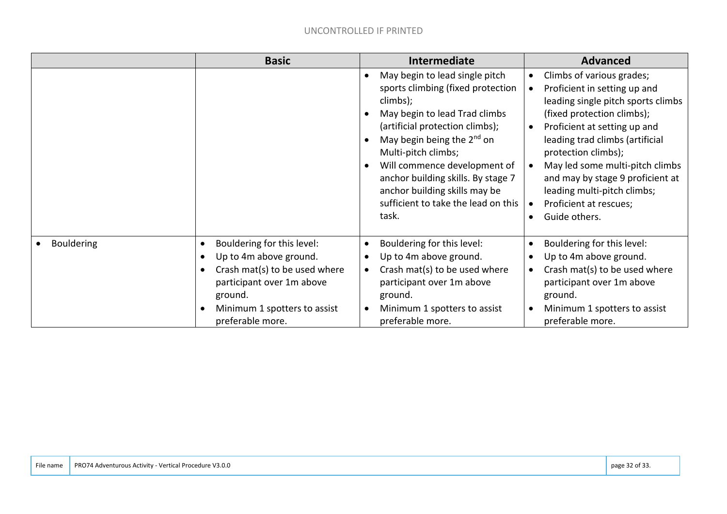#### UNCONTROLLED IF PRINTED

|                   | <b>Basic</b>                                                                                                                                                                                                             | Intermediate                                                                                                                                                                                                                                                                                                                                                         | <b>Advanced</b>                                                                                                                                                                                                                                                                                                                                                                                    |
|-------------------|--------------------------------------------------------------------------------------------------------------------------------------------------------------------------------------------------------------------------|----------------------------------------------------------------------------------------------------------------------------------------------------------------------------------------------------------------------------------------------------------------------------------------------------------------------------------------------------------------------|----------------------------------------------------------------------------------------------------------------------------------------------------------------------------------------------------------------------------------------------------------------------------------------------------------------------------------------------------------------------------------------------------|
|                   |                                                                                                                                                                                                                          | May begin to lead single pitch<br>sports climbing (fixed protection<br>climbs);<br>May begin to lead Trad climbs<br>(artificial protection climbs);<br>May begin being the $2^{nd}$ on<br>Multi-pitch climbs;<br>Will commence development of<br>anchor building skills. By stage 7<br>anchor building skills may be<br>sufficient to take the lead on this<br>task. | Climbs of various grades;<br>$\bullet$<br>Proficient in setting up and<br>leading single pitch sports climbs<br>(fixed protection climbs);<br>Proficient at setting up and<br>leading trad climbs (artificial<br>protection climbs);<br>May led some multi-pitch climbs<br>and may by stage 9 proficient at<br>leading multi-pitch climbs;<br>Proficient at rescues;<br>Guide others.<br>$\bullet$ |
| <b>Bouldering</b> | Bouldering for this level:<br>$\bullet$<br>Up to 4m above ground.<br>$\bullet$<br>Crash mat(s) to be used where<br>$\bullet$<br>participant over 1m above<br>ground.<br>Minimum 1 spotters to assist<br>preferable more. | Bouldering for this level:<br>Up to 4m above ground.<br>Crash mat(s) to be used where<br>participant over 1m above<br>ground.<br>Minimum 1 spotters to assist<br>preferable more.                                                                                                                                                                                    | Bouldering for this level:<br>Up to 4m above ground.<br>Crash mat(s) to be used where<br>participant over 1m above<br>ground.<br>Minimum 1 spotters to assist<br>preferable more.                                                                                                                                                                                                                  |